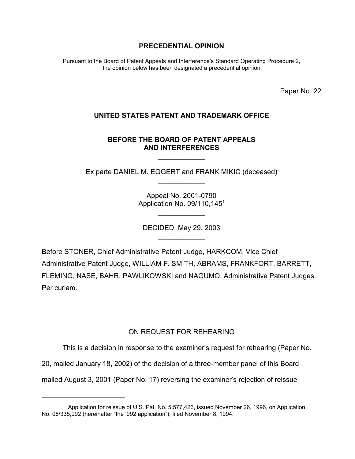# **PRECEDENTIAL OPINION**

Pursuant to the Board of Patent Appeals and Interference's Standard Operating Procedure 2, the opinion below has been designated a precedential opinion.

Paper No. 22

# **UNITED STATES PATENT AND TRADEMARK OFFICE**  $\frac{1}{2}$

# **BEFORE THE BOARD OF PATENT APPEALS AND INTERFERENCES**

 $\overline{\phantom{a}}$ 

Ex parte DANIEL M. EGGERT and FRANK MIKIC (deceased)  $\overline{\phantom{a}}$ 

> Appeal No. 2001-0790 Application No. 09/110,145<sup>1</sup>

> > $\frac{1}{2}$

DECIDED: May 29, 2003  $\overline{\phantom{a}}$ 

Before STONER, Chief Administrative Patent Judge, HARKCOM, Vice Chief Administrative Patent Judge, WILLIAM F. SMITH, ABRAMS, FRANKFORT, BARRETT, FLEMING, NASE, BAHR, PAWLIKOWSKI and NAGUMO, Administrative Patent Judges. Per curiam.

# ON REQUEST FOR REHEARING

This is a decision in response to the examiner's request for rehearing (Paper No.

20, mailed January 18, 2002) of the decision of a three-member panel of this Board

mailed August 3, 2001 (Paper No. 17) reversing the examiner's rejection of reissue

 $1$  Application for reissue of U.S. Pat. No. 5,577,426, issued November 26, 1996, on Application No. 08/335,992 (hereinafter "the '992 application"), filed November 8, 1994.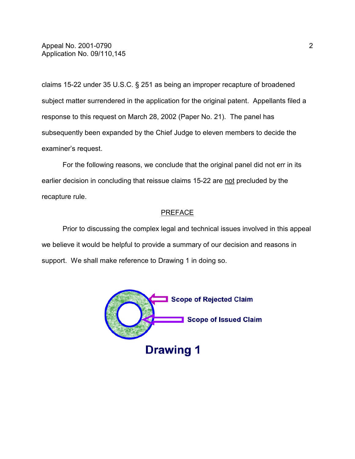claims 15-22 under 35 U.S.C. § 251 as being an improper recapture of broadened subject matter surrendered in the application for the original patent. Appellants filed a response to this request on March 28, 2002 (Paper No. 21). The panel has subsequently been expanded by the Chief Judge to eleven members to decide the examiner's request.

For the following reasons, we conclude that the original panel did not err in its earlier decision in concluding that reissue claims 15-22 are not precluded by the recapture rule.

# PREFACE

Prior to discussing the complex legal and technical issues involved in this appeal we believe it would be helpful to provide a summary of our decision and reasons in support. We shall make reference to Drawing 1 in doing so.

**Scope of Rejected Claim** Scope of Issued Claim **Drawing 1**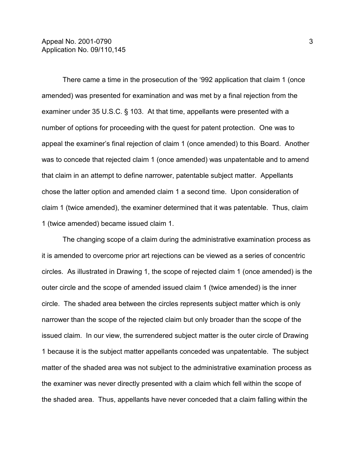There came a time in the prosecution of the '992 application that claim 1 (once amended) was presented for examination and was met by a final rejection from the examiner under 35 U.S.C. § 103. At that time, appellants were presented with a number of options for proceeding with the quest for patent protection. One was to appeal the examiner's final rejection of claim 1 (once amended) to this Board. Another was to concede that rejected claim 1 (once amended) was unpatentable and to amend that claim in an attempt to define narrower, patentable subject matter. Appellants chose the latter option and amended claim 1 a second time. Upon consideration of claim 1 (twice amended), the examiner determined that it was patentable. Thus, claim 1 (twice amended) became issued claim 1.

The changing scope of a claim during the administrative examination process as it is amended to overcome prior art rejections can be viewed as a series of concentric circles. As illustrated in Drawing 1, the scope of rejected claim 1 (once amended) is the outer circle and the scope of amended issued claim 1 (twice amended) is the inner circle. The shaded area between the circles represents subject matter which is only narrower than the scope of the rejected claim but only broader than the scope of the issued claim. In our view, the surrendered subject matter is the outer circle of Drawing 1 because it is the subject matter appellants conceded was unpatentable. The subject matter of the shaded area was not subject to the administrative examination process as the examiner was never directly presented with a claim which fell within the scope of the shaded area. Thus, appellants have never conceded that a claim falling within the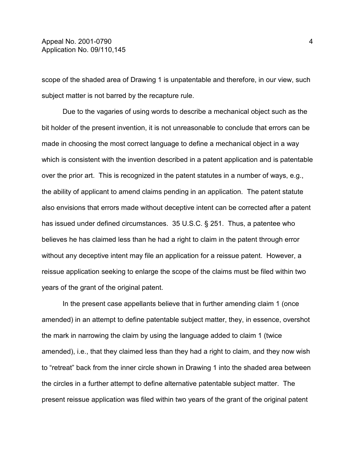scope of the shaded area of Drawing 1 is unpatentable and therefore, in our view, such subject matter is not barred by the recapture rule.

Due to the vagaries of using words to describe a mechanical object such as the bit holder of the present invention, it is not unreasonable to conclude that errors can be made in choosing the most correct language to define a mechanical object in a way which is consistent with the invention described in a patent application and is patentable over the prior art. This is recognized in the patent statutes in a number of ways, e.g., the ability of applicant to amend claims pending in an application. The patent statute also envisions that errors made without deceptive intent can be corrected after a patent has issued under defined circumstances. 35 U.S.C. § 251. Thus, a patentee who believes he has claimed less than he had a right to claim in the patent through error without any deceptive intent may file an application for a reissue patent. However, a reissue application seeking to enlarge the scope of the claims must be filed within two years of the grant of the original patent.

In the present case appellants believe that in further amending claim 1 (once amended) in an attempt to define patentable subject matter, they, in essence, overshot the mark in narrowing the claim by using the language added to claim 1 (twice amended), i.e., that they claimed less than they had a right to claim, and they now wish to "retreat" back from the inner circle shown in Drawing 1 into the shaded area between the circles in a further attempt to define alternative patentable subject matter. The present reissue application was filed within two years of the grant of the original patent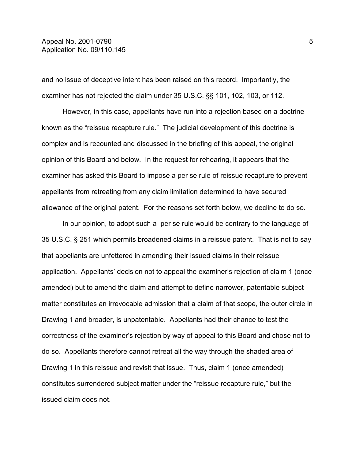and no issue of deceptive intent has been raised on this record. Importantly, the examiner has not rejected the claim under 35 U.S.C. §§ 101, 102, 103, or 112.

However, in this case, appellants have run into a rejection based on a doctrine known as the "reissue recapture rule." The judicial development of this doctrine is complex and is recounted and discussed in the briefing of this appeal, the original opinion of this Board and below. In the request for rehearing, it appears that the examiner has asked this Board to impose a per se rule of reissue recapture to prevent appellants from retreating from any claim limitation determined to have secured allowance of the original patent. For the reasons set forth below, we decline to do so.

In our opinion, to adopt such a per se rule would be contrary to the language of 35 U.S.C. § 251 which permits broadened claims in a reissue patent. That is not to say that appellants are unfettered in amending their issued claims in their reissue application. Appellants' decision not to appeal the examiner's rejection of claim 1 (once amended) but to amend the claim and attempt to define narrower, patentable subject matter constitutes an irrevocable admission that a claim of that scope, the outer circle in Drawing 1 and broader, is unpatentable. Appellants had their chance to test the correctness of the examiner's rejection by way of appeal to this Board and chose not to do so. Appellants therefore cannot retreat all the way through the shaded area of Drawing 1 in this reissue and revisit that issue. Thus, claim 1 (once amended) constitutes surrendered subject matter under the "reissue recapture rule," but the issued claim does not.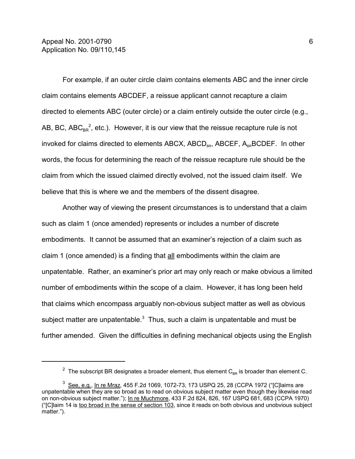For example, if an outer circle claim contains elements ABC and the inner circle claim contains elements ABCDEF, a reissue applicant cannot recapture a claim directed to elements ABC (outer circle) or a claim entirely outside the outer circle (e.g., AB, BC, ABC $_{\text{\tiny BR}}^2$ , etc.). However, it is our view that the reissue recapture rule is not invoked for claims directed to elements ABCX, ABCD<sub>RB</sub>, ABCEF,  $A_{\text{BB}}$ BCDEF. In other words, the focus for determining the reach of the reissue recapture rule should be the claim from which the issued claimed directly evolved, not the issued claim itself. We believe that this is where we and the members of the dissent disagree.

Another way of viewing the present circumstances is to understand that a claim such as claim 1 (once amended) represents or includes a number of discrete embodiments. It cannot be assumed that an examiner's rejection of a claim such as claim 1 (once amended) is a finding that all embodiments within the claim are unpatentable. Rather, an examiner's prior art may only reach or make obvious a limited number of embodiments within the scope of a claim. However, it has long been held that claims which encompass arguably non-obvious subject matter as well as obvious subject matter are unpatentable. $^3$  Thus, such a claim is unpatentable and must be further amended. Given the difficulties in defining mechanical objects using the English

<sup>&</sup>lt;sup>2</sup> The subscript BR designates a broader element, thus element  $\text{C}_\text{\tiny BR}$  is broader than element C.

<sup>&</sup>lt;sup>3</sup> <u>See, e.g., In re Mraz,</u> 455 F.2d 1069, 1072-73, 173 USPQ 25, 28 (CCPA 1972 ("[C]laims are unpatentable when they are so broad as to read on obvious subject matter even though they likewise read on non-obvious subject matter."); In re Muchmore, 433 F.2d 824, 826, 167 USPQ 681, 683 (CCPA 1970) ("[C]laim 14 is too broad in the sense of section 103, since it reads on both obvious and unobvious subject matter.").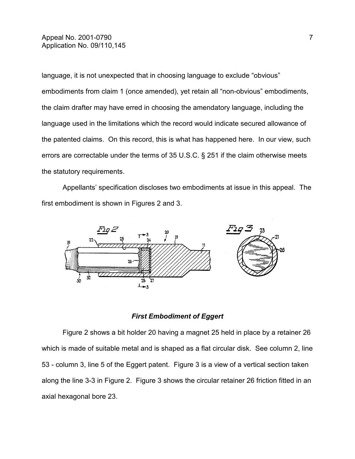language, it is not unexpected that in choosing language to exclude "obvious" embodiments from claim 1 (once amended), yet retain all "non-obvious" embodiments, the claim drafter may have erred in choosing the amendatory language, including the language used in the limitations which the record would indicate secured allowance of the patented claims. On this record, this is what has happened here. In our view, such errors are correctable under the terms of 35 U.S.C. § 251 if the claim otherwise meets the statutory requirements.

Appellants' specification discloses two embodiments at issue in this appeal. The first embodiment is shown in Figures 2 and 3.



*First Embodiment of Eggert*

Figure 2 shows a bit holder 20 having a magnet 25 held in place by a retainer 26 which is made of suitable metal and is shaped as a flat circular disk. See column 2, line 53 - column 3, line 5 of the Eggert patent. Figure 3 is a view of a vertical section taken along the line 3-3 in Figure 2. Figure 3 shows the circular retainer 26 friction fitted in an axial hexagonal bore 23.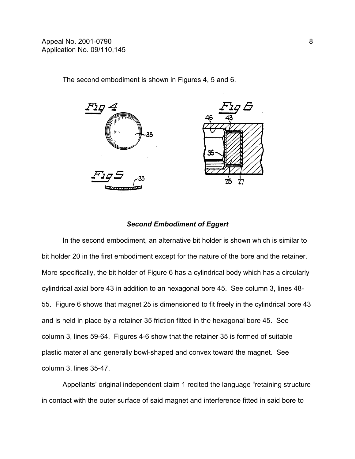

The second embodiment is shown in Figures 4, 5 and 6.

#### *Second Embodiment of Eggert*

In the second embodiment, an alternative bit holder is shown which is similar to bit holder 20 in the first embodiment except for the nature of the bore and the retainer. More specifically, the bit holder of Figure 6 has a cylindrical body which has a circularly cylindrical axial bore 43 in addition to an hexagonal bore 45. See column 3, lines 48- 55. Figure 6 shows that magnet 25 is dimensioned to fit freely in the cylindrical bore 43 and is held in place by a retainer 35 friction fitted in the hexagonal bore 45. See column 3, lines 59-64. Figures 4-6 show that the retainer 35 is formed of suitable plastic material and generally bowl-shaped and convex toward the magnet. See column 3, lines 35-47.

Appellants' original independent claim 1 recited the language "retaining structure in contact with the outer surface of said magnet and interference fitted in said bore to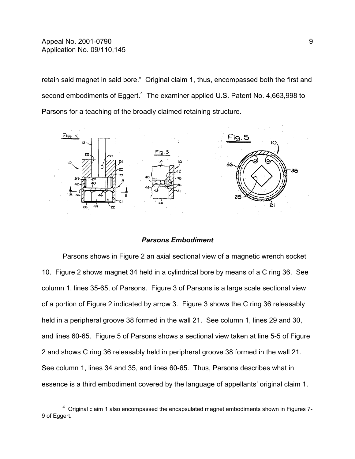retain said magnet in said bore." Original claim 1, thus, encompassed both the first and second embodiments of Eggert.<sup>4</sup> The examiner applied U.S. Patent No. 4,663,998 to Parsons for a teaching of the broadly claimed retaining structure.



### *Parsons Embodiment*

Parsons shows in Figure 2 an axial sectional view of a magnetic wrench socket 10. Figure 2 shows magnet 34 held in a cylindrical bore by means of a C ring 36. See column 1, lines 35-65, of Parsons. Figure 3 of Parsons is a large scale sectional view of a portion of Figure 2 indicated by arrow 3. Figure 3 shows the C ring 36 releasably held in a peripheral groove 38 formed in the wall 21. See column 1, lines 29 and 30, and lines 60-65. Figure 5 of Parsons shows a sectional view taken at line 5-5 of Figure 2 and shows C ring 36 releasably held in peripheral groove 38 formed in the wall 21. See column 1, lines 34 and 35, and lines 60-65. Thus, Parsons describes what in essence is a third embodiment covered by the language of appellants' original claim 1.

 $4$  Original claim 1 also encompassed the encapsulated magnet embodiments shown in Figures 7-9 of Eggert.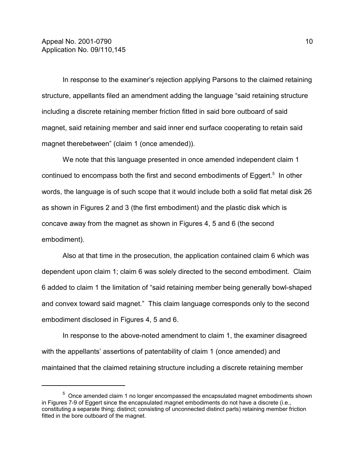In response to the examiner's rejection applying Parsons to the claimed retaining structure, appellants filed an amendment adding the language "said retaining structure including a discrete retaining member friction fitted in said bore outboard of said magnet, said retaining member and said inner end surface cooperating to retain said magnet therebetween" (claim 1 (once amended)).

We note that this language presented in once amended independent claim 1 continued to encompass both the first and second embodiments of Eggert.<sup>5</sup> In other words, the language is of such scope that it would include both a solid flat metal disk 26 as shown in Figures 2 and 3 (the first embodiment) and the plastic disk which is concave away from the magnet as shown in Figures 4, 5 and 6 (the second embodiment).

Also at that time in the prosecution, the application contained claim 6 which was dependent upon claim 1; claim 6 was solely directed to the second embodiment. Claim 6 added to claim 1 the limitation of "said retaining member being generally bowl-shaped and convex toward said magnet." This claim language corresponds only to the second embodiment disclosed in Figures 4, 5 and 6.

In response to the above-noted amendment to claim 1, the examiner disagreed with the appellants' assertions of patentability of claim 1 (once amended) and maintained that the claimed retaining structure including a discrete retaining member

 $5$  Once amended claim 1 no longer encompassed the encapsulated magnet embodiments shown in Figures 7-9 of Eggert since the encapsulated magnet embodiments do not have a discrete (i.e., constituting a separate thing; distinct; consisting of unconnected distinct parts) retaining member friction fitted in the bore outboard of the magnet.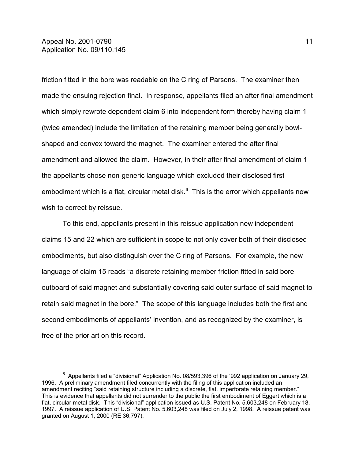friction fitted in the bore was readable on the C ring of Parsons. The examiner then made the ensuing rejection final. In response, appellants filed an after final amendment which simply rewrote dependent claim 6 into independent form thereby having claim 1 (twice amended) include the limitation of the retaining member being generally bowlshaped and convex toward the magnet. The examiner entered the after final amendment and allowed the claim. However, in their after final amendment of claim 1 the appellants chose non-generic language which excluded their disclosed first embodiment which is a flat, circular metal disk. $^6$  This is the error which appellants now wish to correct by reissue.

To this end, appellants present in this reissue application new independent claims 15 and 22 which are sufficient in scope to not only cover both of their disclosed embodiments, but also distinguish over the C ring of Parsons. For example, the new language of claim 15 reads "a discrete retaining member friction fitted in said bore outboard of said magnet and substantially covering said outer surface of said magnet to retain said magnet in the bore." The scope of this language includes both the first and second embodiments of appellants' invention, and as recognized by the examiner, is free of the prior art on this record.

 $^6$  Appellants filed a "divisional" Application No. 08/593,396 of the '992 application on January 29, 1996. A preliminary amendment filed concurrently with the filing of this application included an amendment reciting "said retaining structure including a discrete, flat, imperforate retaining member." This is evidence that appellants did not surrender to the public the first embodiment of Eggert which is a flat, circular metal disk. This "divisional" application issued as U.S. Patent No. 5,603,248 on February 18, 1997. A reissue application of U.S. Patent No. 5,603,248 was filed on July 2, 1998. A reissue patent was granted on August 1, 2000 (RE 36,797).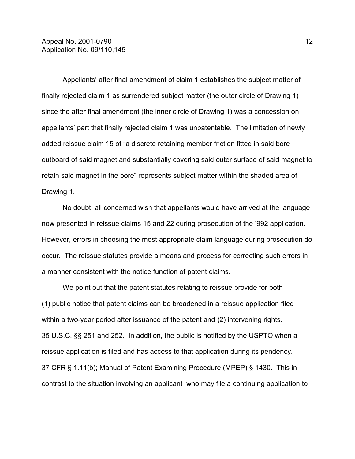Appellants' after final amendment of claim 1 establishes the subject matter of finally rejected claim 1 as surrendered subject matter (the outer circle of Drawing 1) since the after final amendment (the inner circle of Drawing 1) was a concession on appellants' part that finally rejected claim 1 was unpatentable. The limitation of newly added reissue claim 15 of "a discrete retaining member friction fitted in said bore outboard of said magnet and substantially covering said outer surface of said magnet to retain said magnet in the bore" represents subject matter within the shaded area of Drawing 1.

No doubt, all concerned wish that appellants would have arrived at the language now presented in reissue claims 15 and 22 during prosecution of the '992 application. However, errors in choosing the most appropriate claim language during prosecution do occur. The reissue statutes provide a means and process for correcting such errors in a manner consistent with the notice function of patent claims.

We point out that the patent statutes relating to reissue provide for both (1) public notice that patent claims can be broadened in a reissue application filed within a two-year period after issuance of the patent and (2) intervening rights. 35 U.S.C. §§ 251 and 252. In addition, the public is notified by the USPTO when a reissue application is filed and has access to that application during its pendency. 37 CFR § 1.11(b); Manual of Patent Examining Procedure (MPEP) § 1430. This in contrast to the situation involving an applicant who may file a continuing application to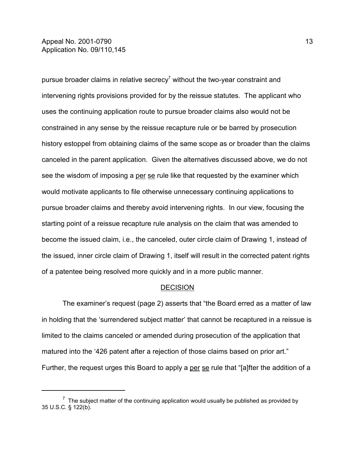pursue broader claims in relative secrecy<sup>7</sup> without the two-year constraint and intervening rights provisions provided for by the reissue statutes. The applicant who uses the continuing application route to pursue broader claims also would not be constrained in any sense by the reissue recapture rule or be barred by prosecution history estoppel from obtaining claims of the same scope as or broader than the claims canceled in the parent application. Given the alternatives discussed above, we do not see the wisdom of imposing a per se rule like that requested by the examiner which would motivate applicants to file otherwise unnecessary continuing applications to pursue broader claims and thereby avoid intervening rights. In our view, focusing the starting point of a reissue recapture rule analysis on the claim that was amended to become the issued claim, i.e., the canceled, outer circle claim of Drawing 1, instead of the issued, inner circle claim of Drawing 1, itself will result in the corrected patent rights of a patentee being resolved more quickly and in a more public manner.

#### **DECISION**

The examiner's request (page 2) asserts that "the Board erred as a matter of law in holding that the 'surrendered subject matter' that cannot be recaptured in a reissue is limited to the claims canceled or amended during prosecution of the application that matured into the '426 patent after a rejection of those claims based on prior art." Further, the request urges this Board to apply a per se rule that "[a]fter the addition of a

 $7$  The subject matter of the continuing application would usually be published as provided by 35 U.S.C. § 122(b).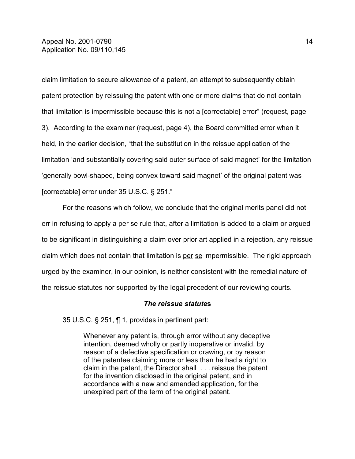claim limitation to secure allowance of a patent, an attempt to subsequently obtain patent protection by reissuing the patent with one or more claims that do not contain that limitation is impermissible because this is not a [correctable] error" (request, page 3). According to the examiner (request, page 4), the Board committed error when it held, in the earlier decision, "that the substitution in the reissue application of the limitation 'and substantially covering said outer surface of said magnet' for the limitation 'generally bowl-shaped, being convex toward said magnet' of the original patent was [correctable] error under 35 U.S.C. § 251."

For the reasons which follow, we conclude that the original merits panel did not err in refusing to apply a per se rule that, after a limitation is added to a claim or argued to be significant in distinguishing a claim over prior art applied in a rejection, any reissue claim which does not contain that limitation is per se impermissible. The rigid approach urged by the examiner, in our opinion, is neither consistent with the remedial nature of the reissue statutes nor supported by the legal precedent of our reviewing courts.

#### *The reissue statute***s**

35 U.S.C. § 251, ¶ 1, provides in pertinent part:

Whenever any patent is, through error without any deceptive intention, deemed wholly or partly inoperative or invalid, by reason of a defective specification or drawing, or by reason of the patentee claiming more or less than he had a right to claim in the patent, the Director shall . . . reissue the patent for the invention disclosed in the original patent, and in accordance with a new and amended application, for the unexpired part of the term of the original patent.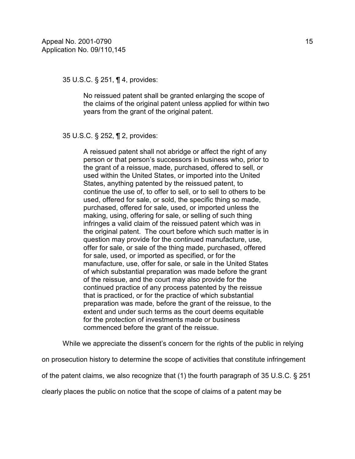35 U.S.C. § 251, ¶ 4, provides:

No reissued patent shall be granted enlarging the scope of the claims of the original patent unless applied for within two years from the grant of the original patent.

35 U.S.C. § 252, ¶ 2, provides:

A reissued patent shall not abridge or affect the right of any person or that person's successors in business who, prior to the grant of a reissue, made, purchased, offered to sell, or used within the United States, or imported into the United States, anything patented by the reissued patent, to continue the use of, to offer to sell, or to sell to others to be used, offered for sale, or sold, the specific thing so made, purchased, offered for sale, used, or imported unless the making, using, offering for sale, or selling of such thing infringes a valid claim of the reissued patent which was in the original patent. The court before which such matter is in question may provide for the continued manufacture, use, offer for sale, or sale of the thing made, purchased, offered for sale, used, or imported as specified, or for the manufacture, use, offer for sale, or sale in the United States of which substantial preparation was made before the grant of the reissue, and the court may also provide for the continued practice of any process patented by the reissue that is practiced, or for the practice of which substantial preparation was made, before the grant of the reissue, to the extent and under such terms as the court deems equitable for the protection of investments made or business commenced before the grant of the reissue.

While we appreciate the dissent's concern for the rights of the public in relying

on prosecution history to determine the scope of activities that constitute infringement

of the patent claims, we also recognize that (1) the fourth paragraph of 35 U.S.C. § 251

clearly places the public on notice that the scope of claims of a patent may be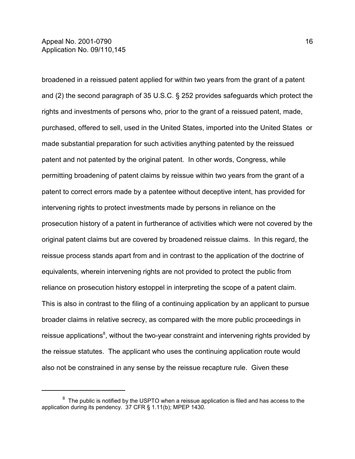broadened in a reissued patent applied for within two years from the grant of a patent and (2) the second paragraph of 35 U.S.C. § 252 provides safeguards which protect the rights and investments of persons who, prior to the grant of a reissued patent, made, purchased, offered to sell, used in the United States, imported into the United States or made substantial preparation for such activities anything patented by the reissued patent and not patented by the original patent. In other words, Congress, while permitting broadening of patent claims by reissue within two years from the grant of a patent to correct errors made by a patentee without deceptive intent, has provided for intervening rights to protect investments made by persons in reliance on the prosecution history of a patent in furtherance of activities which were not covered by the original patent claims but are covered by broadened reissue claims. In this regard, the reissue process stands apart from and in contrast to the application of the doctrine of equivalents, wherein intervening rights are not provided to protect the public from reliance on prosecution history estoppel in interpreting the scope of a patent claim. This is also in contrast to the filing of a continuing application by an applicant to pursue broader claims in relative secrecy, as compared with the more public proceedings in reissue applications<sup>8</sup>, without the two-year constraint and intervening rights provided by the reissue statutes. The applicant who uses the continuing application route would also not be constrained in any sense by the reissue recapture rule. Given these

 $8$  The public is notified by the USPTO when a reissue application is filed and has access to the application during its pendency. 37 CFR § 1.11(b); MPEP 1430.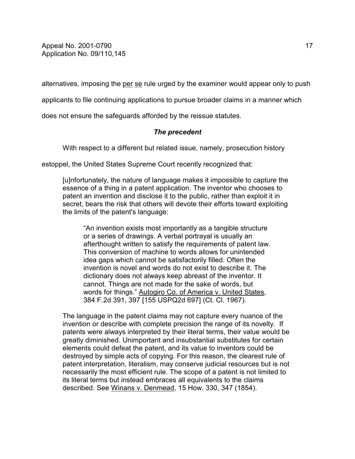alternatives, imposing the per se rule urged by the examiner would appear only to push

applicants to file continuing applications to pursue broader claims in a manner which

does not ensure the safeguards afforded by the reissue statutes.

### *The precedent*

With respect to a different but related issue, namely, prosecution history

estoppel, the United States Supreme Court recently recognized that:

[u]nfortunately, the nature of language makes it impossible to capture the essence of a thing in a patent application. The inventor who chooses to patent an invention and disclose it to the public, rather than exploit it in secret, bears the risk that others will devote their efforts toward exploiting the limits of the patent's language:

"An invention exists most importantly as a tangible structure or a series of drawings. A verbal portrayal is usually an afterthought written to satisfy the requirements of patent law. This conversion of machine to words allows for unintended idea gaps which cannot be satisfactorily filled. Often the invention is novel and words do not exist to describe it. The dictionary does not always keep abreast of the inventor. It cannot. Things are not made for the sake of words, but words for things." Autogiro Co. of America v. United States, 384 F.2d 391, 397 [155 USPQ2d 697] (Ct. Cl. 1967).

The language in the patent claims may not capture every nuance of the invention or describe with complete precision the range of its novelty. If patents were always interpreted by their literal terms, their value would be greatly diminished. Unimportant and insubstantial substitutes for certain elements could defeat the patent, and its value to inventors could be destroyed by simple acts of copying. For this reason, the clearest rule of patent interpretation, literalism, may conserve judicial resources but is not necessarily the most efficient rule. The scope of a patent is not limited to its literal terms but instead embraces all equivalents to the claims described. See Winans v. Denmead, 15 How. 330, 347 (1854).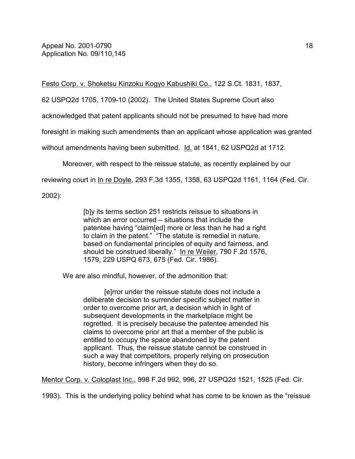Festo Corp. v. Shoketsu Kinzoku Kogyo Kabushiki Co., 122 S.Ct. 1831, 1837,

62 USPQ2d 1705, 1709-10 (2002). The United States Supreme Court also

acknowledged that patent applicants should not be presumed to have had more

foresight in making such amendments than an applicant whose application was granted

without amendments having been submitted. Id. at 1841, 62 USPQ2d at 1712.

Moreover, with respect to the reissue statute, as recently explained by our

reviewing court in In re Doyle, 293 F.3d 1355, 1358, 63 USPQ2d 1161, 1164 (Fed. Cir.

2002):

[b]y its terms section 251 restricts reissue to situations in which an error occurred – situations that include the patentee having "claim[ed] more or less than he had a right to claim in the patent." "The statute is remedial in nature, based on fundamental principles of equity and fairness, and should be construed liberally." In re Weiler, 790 F.2d 1576, 1579, 229 USPQ 673, 675 (Fed. Cir. 1986).

We are also mindful, however, of the admonition that:

[e]rror under the reissue statute does not include a deliberate decision to surrender specific subject matter in order to overcome prior art, a decision which in light of subsequent developments in the marketplace might be regretted. It is precisely because the patentee amended his claims to overcome prior art that a member of the public is entitled to occupy the space abandoned by the patent applicant. Thus, the reissue statute cannot be construed in such a way that competitors, properly relying on prosecution history, become infringers when they do so.

Mentor Corp. v. Coloplast Inc., 998 F.2d 992, 996, 27 USPQ2d 1521, 1525 (Fed. Cir.

1993). This is the underlying policy behind what has come to be known as the "reissue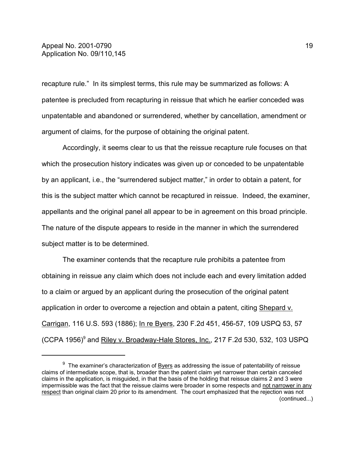recapture rule." In its simplest terms, this rule may be summarized as follows: A patentee is precluded from recapturing in reissue that which he earlier conceded was unpatentable and abandoned or surrendered, whether by cancellation, amendment or argument of claims, for the purpose of obtaining the original patent.

Accordingly, it seems clear to us that the reissue recapture rule focuses on that which the prosecution history indicates was given up or conceded to be unpatentable by an applicant, i.e., the "surrendered subject matter," in order to obtain a patent, for this is the subject matter which cannot be recaptured in reissue. Indeed, the examiner, appellants and the original panel all appear to be in agreement on this broad principle. The nature of the dispute appears to reside in the manner in which the surrendered subject matter is to be determined.

The examiner contends that the recapture rule prohibits a patentee from obtaining in reissue any claim which does not include each and every limitation added to a claim or argued by an applicant during the prosecution of the original patent application in order to overcome a rejection and obtain a patent, citing Shepard v. Carrigan, 116 U.S. 593 (1886); In re Byers, 230 F.2d 451, 456-57, 109 USPQ 53, 57 (CCPA 1956)<sup>9</sup> and Riley v. Broadway-Hale Stores, Inc., 217 F.2d 530, 532, 103 USPQ

 $^9$  The examiner's characterization of  $\overline{\rm Byers}$  as addressing the issue of patentability of reissue claims of intermediate scope, that is, broader than the patent claim yet narrower than certain canceled claims in the application, is misguided, in that the basis of the holding that reissue claims 2 and 3 were impermissible was the fact that the reissue claims were broader in some respects and not narrower in any respect than original claim 20 prior to its amendment. The court emphasized that the rejection was not (continued...)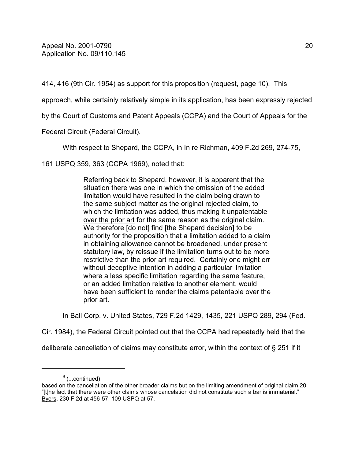414, 416 (9th Cir. 1954) as support for this proposition (request, page 10). This

approach, while certainly relatively simple in its application, has been expressly rejected

by the Court of Customs and Patent Appeals (CCPA) and the Court of Appeals for the

Federal Circuit (Federal Circuit).

With respect to Shepard, the CCPA, in In re Richman, 409 F.2d 269, 274-75,

161 USPQ 359, 363 (CCPA 1969), noted that:

Referring back to Shepard, however, it is apparent that the situation there was one in which the omission of the added limitation would have resulted in the claim being drawn to the same subject matter as the original rejected claim, to which the limitation was added, thus making it unpatentable over the prior art for the same reason as the original claim. We therefore [do not] find [the Shepard decision] to be authority for the proposition that a limitation added to a claim in obtaining allowance cannot be broadened, under present statutory law, by reissue if the limitation turns out to be more restrictive than the prior art required. Certainly one might err without deceptive intention in adding a particular limitation where a less specific limitation regarding the same feature, or an added limitation relative to another element, would have been sufficient to render the claims patentable over the prior art.

In Ball Corp. v. United States, 729 F.2d 1429, 1435, 221 USPQ 289, 294 (Fed.

Cir. 1984), the Federal Circuit pointed out that the CCPA had repeatedly held that the

deliberate cancellation of claims may constitute error, within the context of § 251 if it

<sup>&</sup>lt;sup>9</sup> (...continued)

based on the cancellation of the other broader claims but on the limiting amendment of original claim 20; "[t]he fact that there were other claims whose cancelation did not constitute such a bar is immaterial." Byers, 230 F.2d at 456-57, 109 USPQ at 57.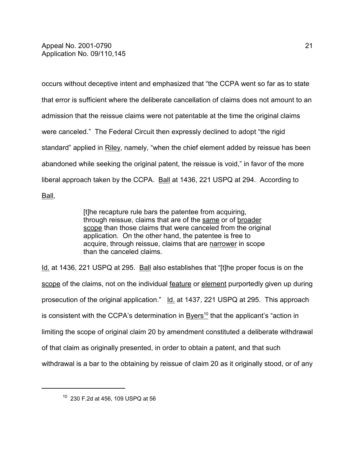occurs without deceptive intent and emphasized that "the CCPA went so far as to state that error is sufficient where the deliberate cancellation of claims does not amount to an admission that the reissue claims were not patentable at the time the original claims were canceled." The Federal Circuit then expressly declined to adopt "the rigid standard" applied in Riley, namely, "when the chief element added by reissue has been abandoned while seeking the original patent, the reissue is void," in favor of the more liberal approach taken by the CCPA. Ball at 1436, 221 USPQ at 294. According to Ball,

> [t]he recapture rule bars the patentee from acquiring, through reissue, claims that are of the same or of broader scope than those claims that were canceled from the original application. On the other hand, the patentee is free to acquire, through reissue, claims that are narrower in scope than the canceled claims.

Id. at 1436, 221 USPQ at 295. Ball also establishes that "[t]he proper focus is on the scope of the claims, not on the individual feature or element purportedly given up during prosecution of the original application." Id. at 1437, 221 USPQ at 295. This approach is consistent with the CCPA's determination in Byers<sup>10</sup> that the applicant's "action in limiting the scope of original claim 20 by amendment constituted a deliberate withdrawal of that claim as originally presented, in order to obtain a patent, and that such withdrawal is a bar to the obtaining by reissue of claim 20 as it originally stood, or of any

<sup>10 230</sup> F.2d at 456, 109 USPQ at 56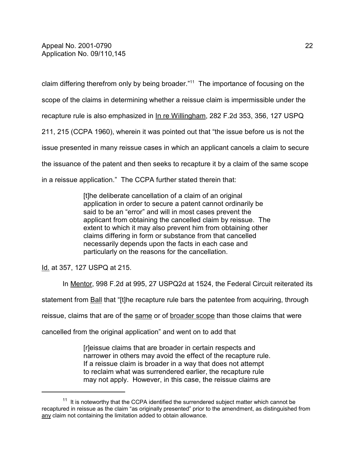claim differing therefrom only by being broader."11 The importance of focusing on the

scope of the claims in determining whether a reissue claim is impermissible under the

recapture rule is also emphasized in In re Willingham, 282 F.2d 353, 356, 127 USPQ

211, 215 (CCPA 1960), wherein it was pointed out that "the issue before us is not the

issue presented in many reissue cases in which an applicant cancels a claim to secure

the issuance of the patent and then seeks to recapture it by a claim of the same scope

in a reissue application." The CCPA further stated therein that:

[t]he deliberate cancellation of a claim of an original application in order to secure a patent cannot ordinarily be said to be an "error" and will in most cases prevent the applicant from obtaining the cancelled claim by reissue. The extent to which it may also prevent him from obtaining other claims differing in form or substance from that cancelled necessarily depends upon the facts in each case and particularly on the reasons for the cancellation.

Id. at 357, 127 USPQ at 215.

In Mentor, 998 F.2d at 995, 27 USPQ2d at 1524, the Federal Circuit reiterated its

statement from Ball that "[t]he recapture rule bars the patentee from acquiring, through

reissue, claims that are of the same or of broader scope than those claims that were

cancelled from the original application" and went on to add that

[r]eissue claims that are broader in certain respects and narrower in others may avoid the effect of the recapture rule. If a reissue claim is broader in a way that does not attempt to reclaim what was surrendered earlier, the recapture rule may not apply. However, in this case, the reissue claims are

 $11$  It is noteworthy that the CCPA identified the surrendered subject matter which cannot be recaptured in reissue as the claim "as originally presented" prior to the amendment, as distinguished from any claim not containing the limitation added to obtain allowance.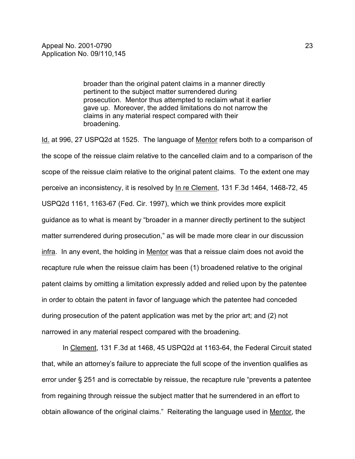broader than the original patent claims in a manner directly pertinent to the subject matter surrendered during prosecution. Mentor thus attempted to reclaim what it earlier gave up. Moreover, the added limitations do not narrow the claims in any material respect compared with their broadening.

Id. at 996, 27 USPQ2d at 1525. The language of Mentor refers both to a comparison of the scope of the reissue claim relative to the cancelled claim and to a comparison of the scope of the reissue claim relative to the original patent claims. To the extent one may perceive an inconsistency, it is resolved by In re Clement, 131 F.3d 1464, 1468-72, 45 USPQ2d 1161, 1163-67 (Fed. Cir. 1997), which we think provides more explicit guidance as to what is meant by "broader in a manner directly pertinent to the subject matter surrendered during prosecution," as will be made more clear in our discussion infra. In any event, the holding in Mentor was that a reissue claim does not avoid the recapture rule when the reissue claim has been (1) broadened relative to the original patent claims by omitting a limitation expressly added and relied upon by the patentee in order to obtain the patent in favor of language which the patentee had conceded during prosecution of the patent application was met by the prior art; and (2) not narrowed in any material respect compared with the broadening.

In Clement, 131 F.3d at 1468, 45 USPQ2d at 1163-64, the Federal Circuit stated that, while an attorney's failure to appreciate the full scope of the invention qualifies as error under § 251 and is correctable by reissue, the recapture rule "prevents a patentee from regaining through reissue the subject matter that he surrendered in an effort to obtain allowance of the original claims." Reiterating the language used in Mentor, the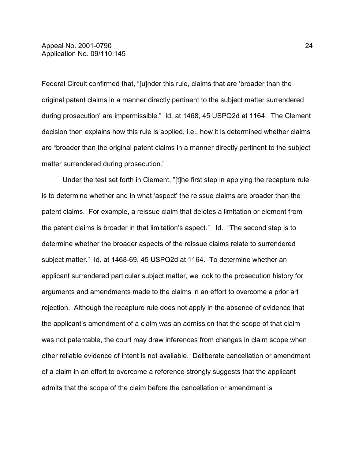Federal Circuit confirmed that, "[u]nder this rule, claims that are 'broader than the original patent claims in a manner directly pertinent to the subject matter surrendered during prosecution' are impermissible." Id. at 1468, 45 USPQ2d at 1164. The Clement decision then explains how this rule is applied, i.e., how it is determined whether claims are "broader than the original patent claims in a manner directly pertinent to the subject matter surrendered during prosecution."

Under the test set forth in Clement, "[t]he first step in applying the recapture rule is to determine whether and in what 'aspect' the reissue claims are broader than the patent claims. For example, a reissue claim that deletes a limitation or element from the patent claims is broader in that limitation's aspect." Id. "The second step is to determine whether the broader aspects of the reissue claims relate to surrendered subject matter." Id. at 1468-69, 45 USPQ2d at 1164. To determine whether an applicant surrendered particular subject matter, we look to the prosecution history for arguments and amendments made to the claims in an effort to overcome a prior art rejection. Although the recapture rule does not apply in the absence of evidence that the applicant's amendment of a claim was an admission that the scope of that claim was not patentable, the court may draw inferences from changes in claim scope when other reliable evidence of intent is not available. Deliberate cancellation or amendment of a claim in an effort to overcome a reference strongly suggests that the applicant admits that the scope of the claim before the cancellation or amendment is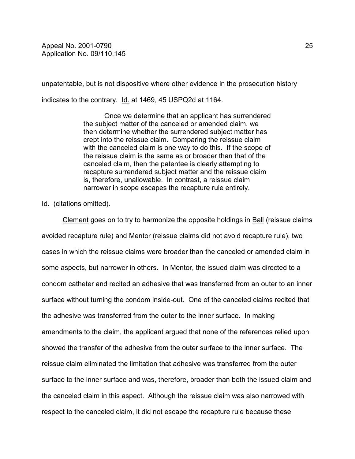unpatentable, but is not dispositive where other evidence in the prosecution history indicates to the contrary. Id. at 1469, 45 USPQ2d at 1164.

> Once we determine that an applicant has surrendered the subject matter of the canceled or amended claim, we then determine whether the surrendered subject matter has crept into the reissue claim. Comparing the reissue claim with the canceled claim is one way to do this. If the scope of the reissue claim is the same as or broader than that of the canceled claim, then the patentee is clearly attempting to recapture surrendered subject matter and the reissue claim is, therefore, unallowable. In contrast, a reissue claim narrower in scope escapes the recapture rule entirely.

Id. (citations omitted).

Clement goes on to try to harmonize the opposite holdings in Ball (reissue claims avoided recapture rule) and Mentor (reissue claims did not avoid recapture rule), two cases in which the reissue claims were broader than the canceled or amended claim in some aspects, but narrower in others. In Mentor, the issued claim was directed to a condom catheter and recited an adhesive that was transferred from an outer to an inner surface without turning the condom inside-out. One of the canceled claims recited that the adhesive was transferred from the outer to the inner surface. In making amendments to the claim, the applicant argued that none of the references relied upon showed the transfer of the adhesive from the outer surface to the inner surface. The reissue claim eliminated the limitation that adhesive was transferred from the outer surface to the inner surface and was, therefore, broader than both the issued claim and the canceled claim in this aspect. Although the reissue claim was also narrowed with respect to the canceled claim, it did not escape the recapture rule because these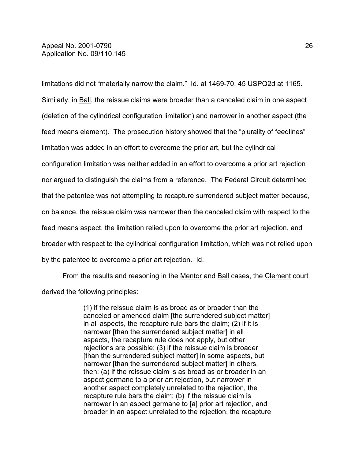limitations did not "materially narrow the claim." Id. at 1469-70, 45 USPQ2d at 1165. Similarly, in Ball, the reissue claims were broader than a canceled claim in one aspect (deletion of the cylindrical configuration limitation) and narrower in another aspect (the feed means element). The prosecution history showed that the "plurality of feedlines" limitation was added in an effort to overcome the prior art, but the cylindrical configuration limitation was neither added in an effort to overcome a prior art rejection nor argued to distinguish the claims from a reference. The Federal Circuit determined that the patentee was not attempting to recapture surrendered subject matter because, on balance, the reissue claim was narrower than the canceled claim with respect to the feed means aspect, the limitation relied upon to overcome the prior art rejection, and broader with respect to the cylindrical configuration limitation, which was not relied upon by the patentee to overcome a prior art rejection. Id.

From the results and reasoning in the Mentor and Ball cases, the Clement court derived the following principles:

> (1) if the reissue claim is as broad as or broader than the canceled or amended claim [the surrendered subject matter] in all aspects, the recapture rule bars the claim; (2) if it is narrower [than the surrendered subject matter] in all aspects, the recapture rule does not apply, but other rejections are possible; (3) if the reissue claim is broader [than the surrendered subject matter] in some aspects, but narrower [than the surrendered subject matter] in others, then: (a) if the reissue claim is as broad as or broader in an aspect germane to a prior art rejection, but narrower in another aspect completely unrelated to the rejection, the recapture rule bars the claim; (b) if the reissue claim is narrower in an aspect germane to [a] prior art rejection, and broader in an aspect unrelated to the rejection, the recapture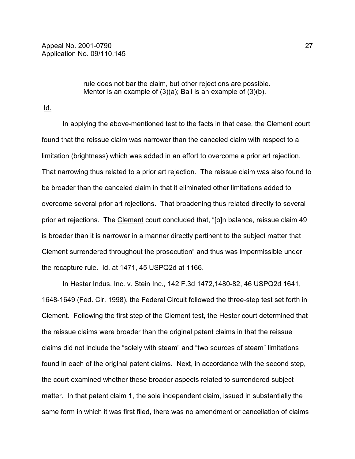rule does not bar the claim, but other rejections are possible. Mentor is an example of  $(3)(a)$ ; Ball is an example of  $(3)(b)$ .

#### Id.

In applying the above-mentioned test to the facts in that case, the Clement court found that the reissue claim was narrower than the canceled claim with respect to a limitation (brightness) which was added in an effort to overcome a prior art rejection. That narrowing thus related to a prior art rejection. The reissue claim was also found to be broader than the canceled claim in that it eliminated other limitations added to overcome several prior art rejections. That broadening thus related directly to several prior art rejections. The Clement court concluded that, "[o]n balance, reissue claim 49 is broader than it is narrower in a manner directly pertinent to the subject matter that Clement surrendered throughout the prosecution" and thus was impermissible under the recapture rule. Id. at 1471, 45 USPQ2d at 1166.

In Hester Indus. Inc. v. Stein Inc., 142 F.3d 1472,1480-82, 46 USPQ2d 1641, 1648-1649 (Fed. Cir. 1998), the Federal Circuit followed the three-step test set forth in Clement. Following the first step of the Clement test, the Hester court determined that the reissue claims were broader than the original patent claims in that the reissue claims did not include the "solely with steam" and "two sources of steam" limitations found in each of the original patent claims. Next, in accordance with the second step, the court examined whether these broader aspects related to surrendered subject matter. In that patent claim 1, the sole independent claim, issued in substantially the same form in which it was first filed, there was no amendment or cancellation of claims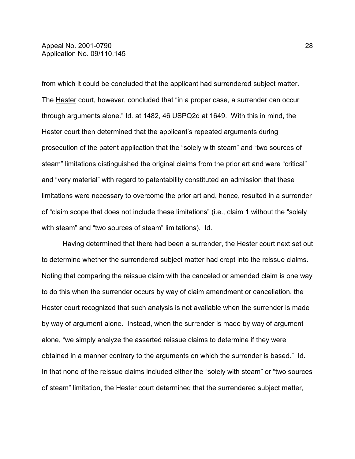from which it could be concluded that the applicant had surrendered subject matter. The Hester court, however, concluded that "in a proper case, a surrender can occur through arguments alone." Id. at 1482, 46 USPQ2d at 1649. With this in mind, the Hester court then determined that the applicant's repeated arguments during prosecution of the patent application that the "solely with steam" and "two sources of steam" limitations distinguished the original claims from the prior art and were "critical" and "very material" with regard to patentability constituted an admission that these limitations were necessary to overcome the prior art and, hence, resulted in a surrender of "claim scope that does not include these limitations" (i.e., claim 1 without the "solely with steam" and "two sources of steam" limitations). Id.

Having determined that there had been a surrender, the Hester court next set out to determine whether the surrendered subject matter had crept into the reissue claims. Noting that comparing the reissue claim with the canceled or amended claim is one way to do this when the surrender occurs by way of claim amendment or cancellation, the Hester court recognized that such analysis is not available when the surrender is made by way of argument alone. Instead, when the surrender is made by way of argument alone, "we simply analyze the asserted reissue claims to determine if they were obtained in a manner contrary to the arguments on which the surrender is based." Id. In that none of the reissue claims included either the "solely with steam" or "two sources of steam" limitation, the Hester court determined that the surrendered subject matter,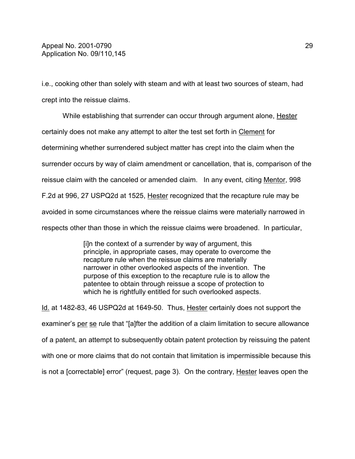i.e., cooking other than solely with steam and with at least two sources of steam, had crept into the reissue claims.

While establishing that surrender can occur through argument alone, Hester certainly does not make any attempt to alter the test set forth in Clement for determining whether surrendered subject matter has crept into the claim when the surrender occurs by way of claim amendment or cancellation, that is, comparison of the reissue claim with the canceled or amended claim. In any event, citing Mentor, 998 F.2d at 996, 27 USPQ2d at 1525, Hester recognized that the recapture rule may be avoided in some circumstances where the reissue claims were materially narrowed in respects other than those in which the reissue claims were broadened. In particular,

> [i]n the context of a surrender by way of argument, this principle, in appropriate cases, may operate to overcome the recapture rule when the reissue claims are materially narrower in other overlooked aspects of the invention. The purpose of this exception to the recapture rule is to allow the patentee to obtain through reissue a scope of protection to which he is rightfully entitled for such overlooked aspects.

Id. at 1482-83, 46 USPQ2d at 1649-50. Thus, Hester certainly does not support the examiner's per se rule that "[a]fter the addition of a claim limitation to secure allowance of a patent, an attempt to subsequently obtain patent protection by reissuing the patent with one or more claims that do not contain that limitation is impermissible because this is not a [correctable] error" (request, page 3). On the contrary, Hester leaves open the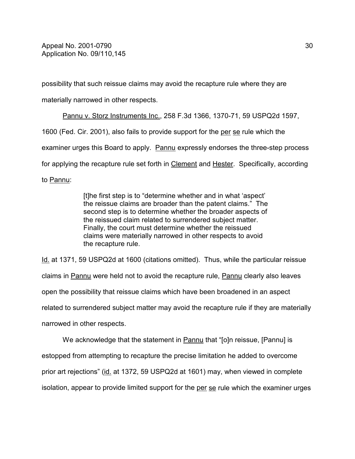possibility that such reissue claims may avoid the recapture rule where they are

materially narrowed in other respects.

Pannu v. Storz Instruments Inc., 258 F.3d 1366, 1370-71, 59 USPQ2d 1597, 1600 (Fed. Cir. 2001), also fails to provide support for the per se rule which the examiner urges this Board to apply. Pannu expressly endorses the three-step process for applying the recapture rule set forth in Clement and Hester. Specifically, according to Pannu:

> [t]he first step is to "determine whether and in what 'aspect' the reissue claims are broader than the patent claims." The second step is to determine whether the broader aspects of the reissued claim related to surrendered subject matter. Finally, the court must determine whether the reissued claims were materially narrowed in other respects to avoid the recapture rule.

Id. at 1371, 59 USPQ2d at 1600 (citations omitted). Thus, while the particular reissue claims in Pannu were held not to avoid the recapture rule, Pannu clearly also leaves open the possibility that reissue claims which have been broadened in an aspect related to surrendered subject matter may avoid the recapture rule if they are materially narrowed in other respects.

We acknowledge that the statement in Pannu that "[o]n reissue, [Pannu] is estopped from attempting to recapture the precise limitation he added to overcome prior art rejections" (id. at 1372, 59 USPQ2d at 1601) may, when viewed in complete isolation, appear to provide limited support for the per se rule which the examiner urges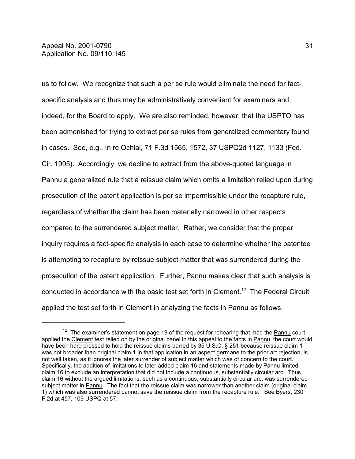us to follow. We recognize that such a per se rule would eliminate the need for factspecific analysis and thus may be administratively convenient for examiners and, indeed, for the Board to apply. We are also reminded, however, that the USPTO has been admonished for trying to extract per se rules from generalized commentary found in cases. See, e.g., In re Ochiai, 71 F.3d 1565, 1572, 37 USPQ2d 1127, 1133 (Fed. Cir. 1995). Accordingly, we decline to extract from the above-quoted language in Pannu a generalized rule that a reissue claim which omits a limitation relied upon during prosecution of the patent application is per se impermissible under the recapture rule, regardless of whether the claim has been materially narrowed in other respects compared to the surrendered subject matter. Rather, we consider that the proper inquiry requires a fact-specific analysis in each case to determine whether the patentee is attempting to recapture by reissue subject matter that was surrendered during the prosecution of the patent application. Further, Pannu makes clear that such analysis is conducted in accordance with the basic test set forth in Clement.<sup>12</sup> The Federal Circuit applied the test set forth in Clement in analyzing the facts in **Pannu** as follows.

 $12$  The examiner's statement on page 19 of the request for rehearing that, had the  $P_{\text{annu}}$  court applied the Clement test relied on by the original panel in this appeal to the facts in Pannu, the court would have been hard pressed to hold the reissue claims barred by 35 U.S.C. § 251 because reissue claim 1 was not broader than original claim 1 in that application in an aspect germane to the prior art rejection, is not well taken, as it ignores the later surrender of subject matter which was of concern to the court. Specifically, the addition of limitations to later added claim 16 and statements made by Pannu limited claim 16 to exclude an interpretation that did not include a continuous, substantially circular arc. Thus, claim 16 without the argued limitations, such as a continuous, substantially circular arc, was surrendered subject matter in Pannu. The fact that the reissue claim was narrower than another claim (original claim 1) which was also surrendered cannot save the reissue claim from the recapture rule. See Byers, 230 F.2d at 457, 109 USPQ at 57.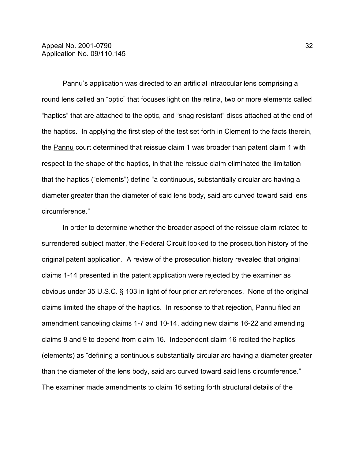Pannu's application was directed to an artificial intraocular lens comprising a round lens called an "optic" that focuses light on the retina, two or more elements called "haptics" that are attached to the optic, and "snag resistant" discs attached at the end of the haptics. In applying the first step of the test set forth in Clement to the facts therein, the Pannu court determined that reissue claim 1 was broader than patent claim 1 with respect to the shape of the haptics, in that the reissue claim eliminated the limitation that the haptics ("elements") define "a continuous, substantially circular arc having a diameter greater than the diameter of said lens body, said arc curved toward said lens circumference."

In order to determine whether the broader aspect of the reissue claim related to surrendered subject matter, the Federal Circuit looked to the prosecution history of the original patent application. A review of the prosecution history revealed that original claims 1-14 presented in the patent application were rejected by the examiner as obvious under 35 U.S.C. § 103 in light of four prior art references. None of the original claims limited the shape of the haptics. In response to that rejection, Pannu filed an amendment canceling claims 1-7 and 10-14, adding new claims 16-22 and amending claims 8 and 9 to depend from claim 16. Independent claim 16 recited the haptics (elements) as "defining a continuous substantially circular arc having a diameter greater than the diameter of the lens body, said arc curved toward said lens circumference." The examiner made amendments to claim 16 setting forth structural details of the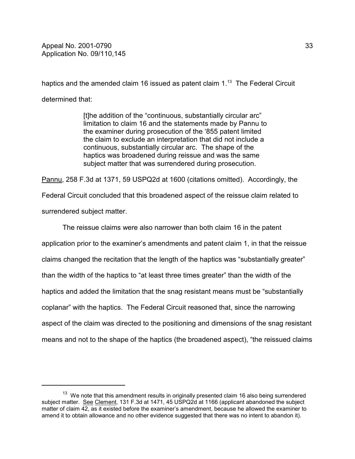haptics and the amended claim 16 issued as patent claim 1.<sup>13</sup> The Federal Circuit determined that:

> [t]he addition of the "continuous, substantially circular arc" limitation to claim 16 and the statements made by Pannu to the examiner during prosecution of the '855 patent limited the claim to exclude an interpretation that did not include a continuous, substantially circular arc. The shape of the haptics was broadened during reissue and was the same subject matter that was surrendered during prosecution.

Pannu, 258 F.3d at 1371, 59 USPQ2d at 1600 (citations omitted). Accordingly, the Federal Circuit concluded that this broadened aspect of the reissue claim related to surrendered subject matter.

The reissue claims were also narrower than both claim 16 in the patent application prior to the examiner's amendments and patent claim 1, in that the reissue claims changed the recitation that the length of the haptics was "substantially greater" than the width of the haptics to "at least three times greater" than the width of the haptics and added the limitation that the snag resistant means must be "substantially coplanar" with the haptics. The Federal Circuit reasoned that, since the narrowing aspect of the claim was directed to the positioning and dimensions of the snag resistant means and not to the shape of the haptics (the broadened aspect), "the reissued claims

 $13$  We note that this amendment results in originally presented claim 16 also being surrendered subject matter. See Clement, 131 F.3d at 1471, 45 USPQ2d at 1166 (applicant abandoned the subject matter of claim 42, as it existed before the examiner's amendment, because he allowed the examiner to amend it to obtain allowance and no other evidence suggested that there was no intent to abandon it).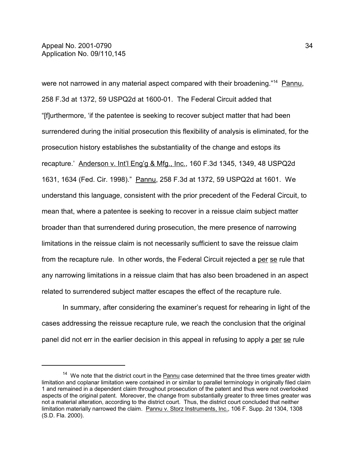were not narrowed in any material aspect compared with their broadening."<sup>14</sup> Pannu, 258 F.3d at 1372, 59 USPQ2d at 1600-01. The Federal Circuit added that "[f]urthermore, 'if the patentee is seeking to recover subject matter that had been surrendered during the initial prosecution this flexibility of analysis is eliminated, for the prosecution history establishes the substantiality of the change and estops its recapture.' Anderson v. Int'l Eng'g & Mfg., Inc., 160 F.3d 1345, 1349, 48 USPQ2d 1631, 1634 (Fed. Cir. 1998)." Pannu, 258 F.3d at 1372, 59 USPQ2d at 1601. We understand this language, consistent with the prior precedent of the Federal Circuit, to mean that, where a patentee is seeking to recover in a reissue claim subject matter broader than that surrendered during prosecution, the mere presence of narrowing limitations in the reissue claim is not necessarily sufficient to save the reissue claim from the recapture rule. In other words, the Federal Circuit rejected a per se rule that any narrowing limitations in a reissue claim that has also been broadened in an aspect related to surrendered subject matter escapes the effect of the recapture rule.

In summary, after considering the examiner's request for rehearing in light of the cases addressing the reissue recapture rule, we reach the conclusion that the original panel did not err in the earlier decision in this appeal in refusing to apply a per se rule

 $14$  We note that the district court in the  $Pannu$  case determined that the three times greater width limitation and coplanar limitation were contained in or similar to parallel terminology in originally filed claim 1 and remained in a dependent claim throughout prosecution of the patent and thus were not overlooked aspects of the original patent. Moreover, the change from substantially greater to three times greater was not a material alteration, according to the district court. Thus, the district court concluded that neither limitation materially narrowed the claim. Pannu v. Storz Instruments, Inc., 106 F. Supp. 2d 1304, 1308 (S.D. Fla. 2000).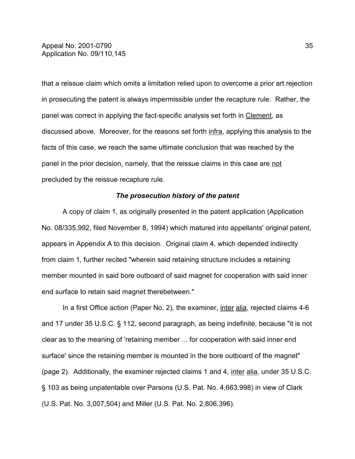that a reissue claim which omits a limitation relied upon to overcome a prior art rejection in prosecuting the patent is always impermissible under the recapture rule. Rather, the panel was correct in applying the fact-specific analysis set forth in Clement, as discussed above. Moreover, for the reasons set forth infra, applying this analysis to the facts of this case, we reach the same ultimate conclusion that was reached by the panel in the prior decision, namely, that the reissue claims in this case are not precluded by the reissue recapture rule.

#### *The prosecution history of the patent*

A copy of claim 1, as originally presented in the patent application (Application No. 08/335,992, filed November 8, 1994) which matured into appellants' original patent, appears in Appendix A to this decision. Original claim 4, which depended indirectly from claim 1, further recited "wherein said retaining structure includes a retaining member mounted in said bore outboard of said magnet for cooperation with said inner end surface to retain said magnet therebetween."

In a first Office action (Paper No. 2), the examiner, inter alia, rejected claims 4-6 and 17 under 35 U.S.C. § 112, second paragraph, as being indefinite, because "it is not clear as to the meaning of 'retaining member ... for cooperation with said inner end surface' since the retaining member is mounted in the bore outboard of the magnet" (page 2). Additionally, the examiner rejected claims 1 and 4, inter alia, under 35 U.S.C. § 103 as being unpatentable over Parsons (U.S. Pat. No. 4,663,998) in view of Clark (U.S. Pat. No. 3,007,504) and Miller (U.S. Pat. No. 2,806,396).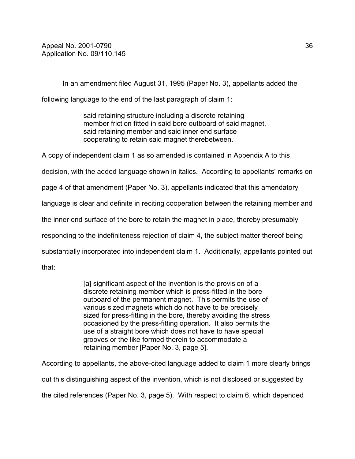In an amendment filed August 31, 1995 (Paper No. 3), appellants added the

following language to the end of the last paragraph of claim 1:

said retaining structure including a discrete retaining member friction fitted in said bore outboard of said magnet, said retaining member and said inner end surface cooperating to retain said magnet therebetween.

A copy of independent claim 1 as so amended is contained in Appendix A to this

decision, with the added language shown in italics. According to appellants' remarks on

page 4 of that amendment (Paper No. 3), appellants indicated that this amendatory

language is clear and definite in reciting cooperation between the retaining member and

the inner end surface of the bore to retain the magnet in place, thereby presumably

responding to the indefiniteness rejection of claim 4, the subject matter thereof being

substantially incorporated into independent claim 1. Additionally, appellants pointed out

that:

[a] significant aspect of the invention is the provision of a discrete retaining member which is press-fitted in the bore outboard of the permanent magnet. This permits the use of various sized magnets which do not have to be precisely sized for press-fitting in the bore, thereby avoiding the stress occasioned by the press-fitting operation. It also permits the use of a straight bore which does not have to have special grooves or the like formed therein to accommodate a retaining member [Paper No. 3, page 5].

According to appellants, the above-cited language added to claim 1 more clearly brings out this distinguishing aspect of the invention, which is not disclosed or suggested by the cited references (Paper No. 3, page 5). With respect to claim 6, which depended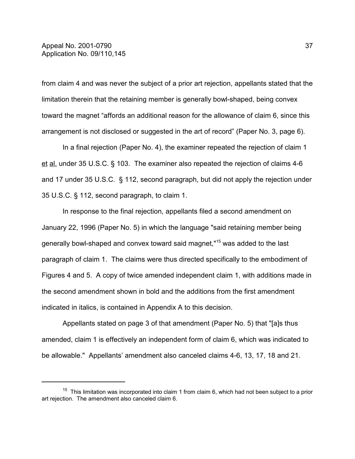from claim 4 and was never the subject of a prior art rejection, appellants stated that the limitation therein that the retaining member is generally bowl-shaped, being convex toward the magnet "affords an additional reason for the allowance of claim 6, since this arrangement is not disclosed or suggested in the art of record" (Paper No. 3, page 6).

In a final rejection (Paper No. 4), the examiner repeated the rejection of claim 1 et al. under 35 U.S.C. § 103. The examiner also repeated the rejection of claims 4-6 and 17 under 35 U.S.C. § 112, second paragraph, but did not apply the rejection under 35 U.S.C. § 112, second paragraph, to claim 1.

In response to the final rejection, appellants filed a second amendment on January 22, 1996 (Paper No. 5) in which the language "said retaining member being generally bowl-shaped and convex toward said magnet,"15 was added to the last paragraph of claim 1. The claims were thus directed specifically to the embodiment of Figures 4 and 5. A copy of twice amended independent claim 1, with additions made in the second amendment shown in bold and the additions from the first amendment indicated in italics, is contained in Appendix A to this decision.

Appellants stated on page 3 of that amendment (Paper No. 5) that "[a]s thus amended, claim 1 is effectively an independent form of claim 6, which was indicated to be allowable." Appellants' amendment also canceled claims 4-6, 13, 17, 18 and 21.

 $15$  This limitation was incorporated into claim 1 from claim 6, which had not been subject to a prior art rejection. The amendment also canceled claim 6.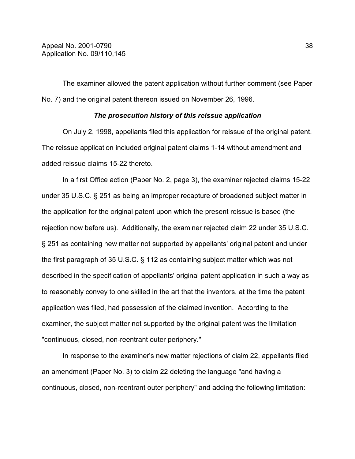The examiner allowed the patent application without further comment (see Paper No. 7) and the original patent thereon issued on November 26, 1996.

#### *The prosecution history of this reissue application*

On July 2, 1998, appellants filed this application for reissue of the original patent. The reissue application included original patent claims 1-14 without amendment and added reissue claims 15-22 thereto.

In a first Office action (Paper No. 2, page 3), the examiner rejected claims 15-22 under 35 U.S.C. § 251 as being an improper recapture of broadened subject matter in the application for the original patent upon which the present reissue is based (the rejection now before us). Additionally, the examiner rejected claim 22 under 35 U.S.C. § 251 as containing new matter not supported by appellants' original patent and under the first paragraph of 35 U.S.C. § 112 as containing subject matter which was not described in the specification of appellants' original patent application in such a way as to reasonably convey to one skilled in the art that the inventors, at the time the patent application was filed, had possession of the claimed invention. According to the examiner, the subject matter not supported by the original patent was the limitation "continuous, closed, non-reentrant outer periphery."

In response to the examiner's new matter rejections of claim 22, appellants filed an amendment (Paper No. 3) to claim 22 deleting the language "and having a continuous, closed, non-reentrant outer periphery" and adding the following limitation: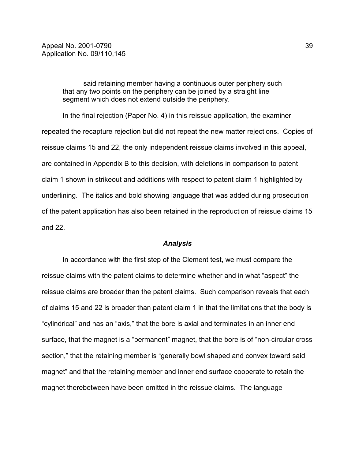said retaining member having a continuous outer periphery such that any two points on the periphery can be joined by a straight line segment which does not extend outside the periphery.

In the final rejection (Paper No. 4) in this reissue application, the examiner repeated the recapture rejection but did not repeat the new matter rejections. Copies of reissue claims 15 and 22, the only independent reissue claims involved in this appeal, are contained in Appendix B to this decision, with deletions in comparison to patent claim 1 shown in strikeout and additions with respect to patent claim 1 highlighted by underlining. The italics and bold showing language that was added during prosecution of the patent application has also been retained in the reproduction of reissue claims 15 and 22.

#### *Analysis*

In accordance with the first step of the Clement test, we must compare the reissue claims with the patent claims to determine whether and in what "aspect" the reissue claims are broader than the patent claims. Such comparison reveals that each of claims 15 and 22 is broader than patent claim 1 in that the limitations that the body is "cylindrical" and has an "axis," that the bore is axial and terminates in an inner end surface, that the magnet is a "permanent" magnet, that the bore is of "non-circular cross section," that the retaining member is "generally bowl shaped and convex toward said magnet" and that the retaining member and inner end surface cooperate to retain the magnet therebetween have been omitted in the reissue claims. The language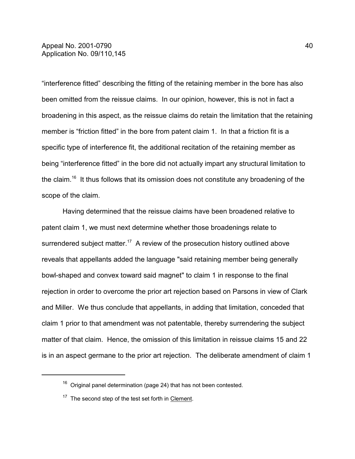"interference fitted" describing the fitting of the retaining member in the bore has also been omitted from the reissue claims. In our opinion, however, this is not in fact a broadening in this aspect, as the reissue claims do retain the limitation that the retaining member is "friction fitted" in the bore from patent claim 1. In that a friction fit is a specific type of interference fit, the additional recitation of the retaining member as being "interference fitted" in the bore did not actually impart any structural limitation to the claim.<sup>16</sup> It thus follows that its omission does not constitute any broadening of the scope of the claim.

Having determined that the reissue claims have been broadened relative to patent claim 1, we must next determine whether those broadenings relate to surrendered subject matter.<sup>17</sup> A review of the prosecution history outlined above reveals that appellants added the language "said retaining member being generally bowl-shaped and convex toward said magnet" to claim 1 in response to the final rejection in order to overcome the prior art rejection based on Parsons in view of Clark and Miller. We thus conclude that appellants, in adding that limitation, conceded that claim 1 prior to that amendment was not patentable, thereby surrendering the subject matter of that claim. Hence, the omission of this limitation in reissue claims 15 and 22 is in an aspect germane to the prior art rejection. The deliberate amendment of claim 1

 $16$  Original panel determination (page 24) that has not been contested.

<sup>&</sup>lt;sup>17</sup> The second step of the test set forth in Clement.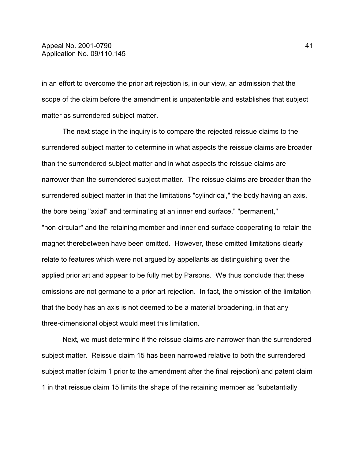in an effort to overcome the prior art rejection is, in our view, an admission that the scope of the claim before the amendment is unpatentable and establishes that subject matter as surrendered subject matter.

The next stage in the inquiry is to compare the rejected reissue claims to the surrendered subject matter to determine in what aspects the reissue claims are broader than the surrendered subject matter and in what aspects the reissue claims are narrower than the surrendered subject matter. The reissue claims are broader than the surrendered subject matter in that the limitations "cylindrical," the body having an axis, the bore being "axial" and terminating at an inner end surface," "permanent," "non-circular" and the retaining member and inner end surface cooperating to retain the magnet therebetween have been omitted. However, these omitted limitations clearly relate to features which were not argued by appellants as distinguishing over the applied prior art and appear to be fully met by Parsons. We thus conclude that these omissions are not germane to a prior art rejection. In fact, the omission of the limitation that the body has an axis is not deemed to be a material broadening, in that any three-dimensional object would meet this limitation.

Next, we must determine if the reissue claims are narrower than the surrendered subject matter. Reissue claim 15 has been narrowed relative to both the surrendered subject matter (claim 1 prior to the amendment after the final rejection) and patent claim 1 in that reissue claim 15 limits the shape of the retaining member as "substantially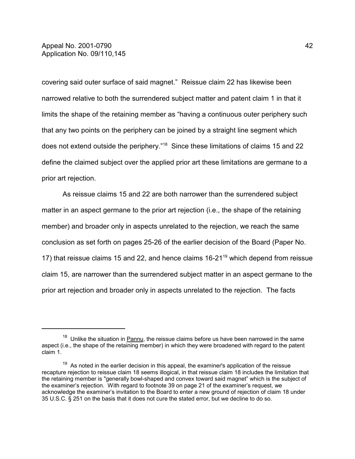covering said outer surface of said magnet." Reissue claim 22 has likewise been narrowed relative to both the surrendered subject matter and patent claim 1 in that it limits the shape of the retaining member as "having a continuous outer periphery such that any two points on the periphery can be joined by a straight line segment which does not extend outside the periphery."18 Since these limitations of claims 15 and 22 define the claimed subject over the applied prior art these limitations are germane to a prior art rejection.

As reissue claims 15 and 22 are both narrower than the surrendered subject matter in an aspect germane to the prior art rejection (i.e., the shape of the retaining member) and broader only in aspects unrelated to the rejection, we reach the same conclusion as set forth on pages 25-26 of the earlier decision of the Board (Paper No. 17) that reissue claims 15 and 22, and hence claims 16-2119 which depend from reissue claim 15, are narrower than the surrendered subject matter in an aspect germane to the prior art rejection and broader only in aspects unrelated to the rejection. The facts

 $18$  Unlike the situation in **Pannu**, the reissue claims before us have been narrowed in the same aspect (i.e., the shape of the retaining member) in which they were broadened with regard to the patent claim 1.

 $19$  As noted in the earlier decision in this appeal, the examiner's application of the reissue recapture rejection to reissue claim 18 seems illogical, in that reissue claim 18 includes the limitation that the retaining member is "generally bowl-shaped and convex toward said magnet" which is the subject of the examiner's rejection. With regard to footnote 39 on page 21 of the examiner's request, we acknowledge the examiner's invitation to the Board to enter a new ground of rejection of claim 18 under 35 U.S.C. § 251 on the basis that it does not cure the stated error, but we decline to do so.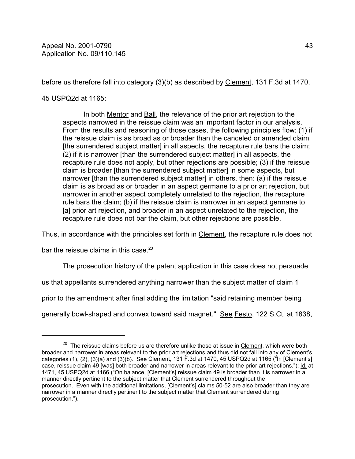before us therefore fall into category (3)(b) as described by Clement, 131 F.3d at 1470,

45 USPQ2d at 1165:

In both Mentor and Ball, the relevance of the prior art rejection to the aspects narrowed in the reissue claim was an important factor in our analysis. From the results and reasoning of those cases, the following principles flow: (1) if the reissue claim is as broad as or broader than the canceled or amended claim [the surrendered subject matter] in all aspects, the recapture rule bars the claim; (2) if it is narrower [than the surrendered subject matter] in all aspects, the recapture rule does not apply, but other rejections are possible; (3) if the reissue claim is broader [than the surrendered subject matter] in some aspects, but narrower [than the surrendered subject matter] in others, then: (a) if the reissue claim is as broad as or broader in an aspect germane to a prior art rejection, but narrower in another aspect completely unrelated to the rejection, the recapture rule bars the claim; (b) if the reissue claim is narrower in an aspect germane to [a] prior art rejection, and broader in an aspect unrelated to the rejection, the recapture rule does not bar the claim, but other rejections are possible.

Thus, in accordance with the principles set forth in Clement, the recapture rule does not

bar the reissue claims in this case.  $20$ 

The prosecution history of the patent application in this case does not persuade

us that appellants surrendered anything narrower than the subject matter of claim 1

prior to the amendment after final adding the limitation "said retaining member being

generally bowl-shaped and convex toward said magnet." See Festo, 122 S.Ct. at 1838,

 $20$  The reissue claims before us are therefore unlike those at issue in Clement, which were both broader and narrower in areas relevant to the prior art rejections and thus did not fall into any of Clement's categories (1), (2), (3)(a) and (3)(b). See Clement, 131 F.3d at 1470, 45 USPQ2d at 1165 ("In [Clement's] case, reissue claim 49 [was] both broader and narrower in areas relevant to the prior art rejections."); id. at 1471, 45 USPQ2d at 1166 ("On balance, [Clement's] reissue claim 49 is broader than it is narrower in a manner directly pertinent to the subject matter that Clement surrendered throughout the prosecution. Even with the additional limitations, [Clement's] claims 50-52 are also broader than they are narrower in a manner directly pertinent to the subject matter that Clement surrendered during prosecution.").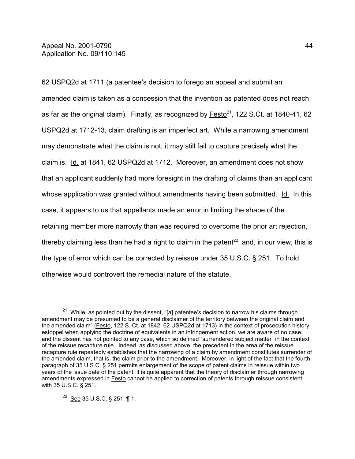62 USPQ2d at 1711 (a patentee's decision to forego an appeal and submit an amended claim is taken as a concession that the invention as patented does not reach as far as the original claim). Finally, as recognized by  $Festo^{21}$ , 122 S.Ct. at 1840-41, 62 USPQ2d at 1712-13, claim drafting is an imperfect art. While a narrowing amendment may demonstrate what the claim is not, it may still fail to capture precisely what the claim is. Id. at 1841, 62 USPQ2d at 1712. Moreover, an amendment does not show that an applicant suddenly had more foresight in the drafting of claims than an applicant whose application was granted without amendments having been submitted. Id. In this case, it appears to us that appellants made an error in limiting the shape of the retaining member more narrowly than was required to overcome the prior art rejection, thereby claiming less than he had a right to claim in the patent<sup>22</sup>, and, in our view, this is the type of error which can be corrected by reissue under 35 U.S.C. § 251. To hold otherwise would controvert the remedial nature of the statute.

<sup>22</sup> See 35 U.S.C. § 251, ¶ 1.

 $21$  While, as pointed out by the dissent, "[a] patentee's decision to narrow his claims through amendment may be presumed to be a general disclaimer of the territory between the original claim and the amended claim" (Festo, 122 S. Ct. at 1842, 62 USPQ2d at 1713) in the context of prosecution history estoppel when applying the doctrine of equivalents in an infringement action, we are aware of no case, and the dissent has not pointed to any case, which so defined "surrendered subject matter" in the context of the reissue recapture rule. Indeed, as discussed above, the precedent in the area of the reissue recapture rule repeatedly establishes that the narrowing of a claim by amendment constitutes surrender of the amended claim, that is, the claim prior to the amendment. Moreover, in light of the fact that the fourth paragraph of 35 U.S.C. § 251 permits enlargement of the scope of patent claims in reissue within two years of the issue date of the patent, it is quite apparent that the theory of disclaimer through narrowing amendments expressed in Festo cannot be applied to correction of patents through reissue consistent with 35 U.S.C. § 251.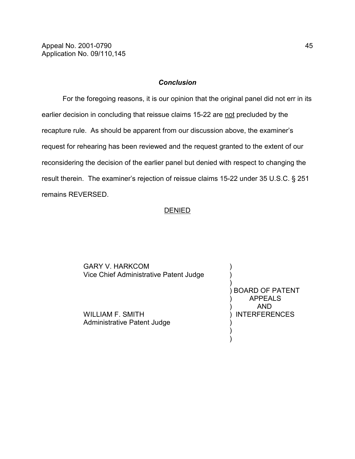# *Conclusion*

For the foregoing reasons, it is our opinion that the original panel did not err in its earlier decision in concluding that reissue claims 15-22 are not precluded by the recapture rule. As should be apparent from our discussion above, the examiner's request for rehearing has been reviewed and the request granted to the extent of our reconsidering the decision of the earlier panel but denied with respect to changing the result therein. The examiner's rejection of reissue claims 15-22 under 35 U.S.C. § 251 remains REVERSED.

## DENIED

GARY V. HARKCOM (3) Vice Chief Administrative Patent Judge )

WILLIAM F. SMITH (NORTH ) INTERFERENCES Administrative Patent Judge (a)

) BOARD OF PATENT ) APPEALS ) AND ) )

)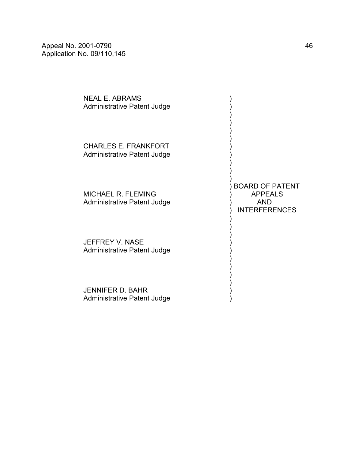| <b>NEAL E. ABRAMS</b><br><b>Administrative Patent Judge</b>       |                                                                                |
|-------------------------------------------------------------------|--------------------------------------------------------------------------------|
| <b>CHARLES E. FRANKFORT</b><br><b>Administrative Patent Judge</b> |                                                                                |
| <b>MICHAEL R. FLEMING</b><br>Administrative Patent Judge          | <b>BOARD OF PATENT</b><br><b>APPEALS</b><br><b>AND</b><br><b>INTERFERENCES</b> |
| JEFFREY V. NASE<br>Administrative Patent Judge                    |                                                                                |
| <b>JENNIFER D. BAHR</b><br><b>Administrative Patent Judge</b>     |                                                                                |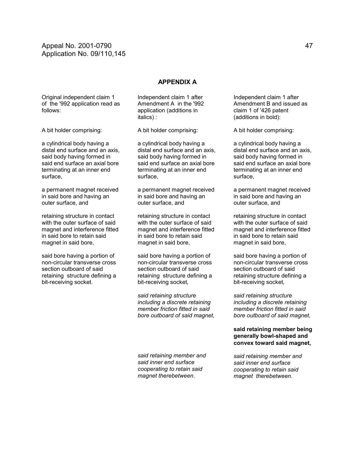Original independent claim 1 of the '992 application read as follows:

A bit holder comprising:

a cylindrical body having a distal end surface and an axis, said body having formed in said end surface an axial bore terminating at an inner end surface,

a permanent magnet received in said bore and having an outer surface, and

retaining structure in contact with the outer surface of said magnet and interference fitted in said bore to retain said magnet in said bore,

said bore having a portion of non-circular transverse cross section outboard of said retaining structure defining a bit-receiving socket.

Independent claim 1 after Amendment A in the '992 application (additions in italics) :

**APPENDIX A**

A bit holder comprising:

a cylindrical body having a distal end surface and an axis, said body having formed in said end surface an axial bore terminating at an inner end surface,

a permanent magnet received in said bore and having an outer surface, and

retaining structure in contact with the outer surface of said magnet and interference fitted in said bore to retain said magnet in said bore,

said bore having a portion of non-circular transverse cross section outboard of said retaining structure defining a bit-receiving socket*,* 

*said retaining structure including a discrete retaining member friction fitted in said bore outboard of said magnet,* 

*said retaining member and said inner end surface cooperating to retain said magnet therebetween*.

Independent claim 1 after Amendment B and issued as claim 1 of '426 patent (additions in bold):

A bit holder comprising:

a cylindrical body having a distal end surface and an axis, said body having formed in said end surface an axial bore terminating at an inner end surface,

a permanent magnet received in said bore and having an outer surface, and

retaining structure in contact with the outer surface of said magnet and interference fitted in said bore to retain said magnet in said bore,

said bore having a portion of non-circular transverse cross section outboard of said retaining structure defining a bit-receiving socket*,* 

*said retaining structure including a discrete retaining member friction fitted in said bore outboard of said magnet,* 

#### **said retaining member being generally bowl-shaped and convex toward said magnet,**

*said retaining member and said inner end surface cooperating to retain said magnet therebetween*.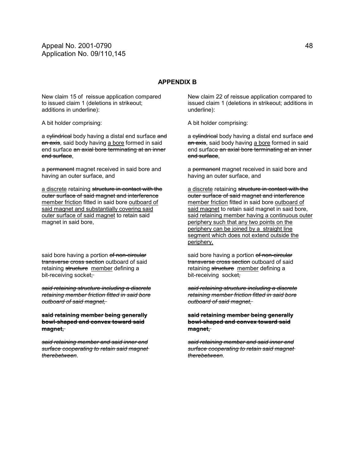#### **APPENDIX B**

New claim 15 of reissue application compared to issued claim 1 (deletions in strikeout; additions in underline):

#### A bit holder comprising:

a cylindrical body having a distal end surface and an axis, said body having a bore formed in said end surface an axial bore terminating at an inner end surface,

a permanent magnet received in said bore and having an outer surface, and

a discrete retaining structure in contact with the outer surface of said magnet and interference member friction fitted in said bore outboard of said magnet and substantially covering said outer surface of said magnet to retain said magnet in said bore,

said bore having a portion of non-circular transverse cross section outboard of said retaining structure member defining a bit-receiving socket,

*said retaining structure including a discrete retaining member friction fitted in said bore outboard of said magnet,* 

**said retaining member being generally bowl-shaped and convex toward said magnet,**

*said retaining member and said inner end surface cooperating to retain said magnet therebetween*.

New claim 22 of reissue application compared to issued claim 1 (deletions in strikeout; additions in underline):

A bit holder comprising:

a cylindrical body having a distal end surface and an axis, said body having a bore formed in said end surface an axial bore terminating at an inner end surface,

a permanent magnet received in said bore and having an outer surface, and

a discrete retaining structure in contact with the outer surface of said magnet and interference member friction fitted in said bore outboard of said magnet to retain said magnet in said bore, said retaining member having a continuous outer periphery such that any two points on the periphery can be joined by a straight line segment which does not extend outside the periphery,

said bore having a portion of non-circular transverse cross section outboard of said retaining structure member defining a bit-receiving socket,

*said retaining structure including a discrete retaining member friction fitted in said bore outboard of said magnet,* 

**said retaining member being generally bowl-shaped and convex toward said magnet,**

*said retaining member and said inner end surface cooperating to retain said magnet therebetween*.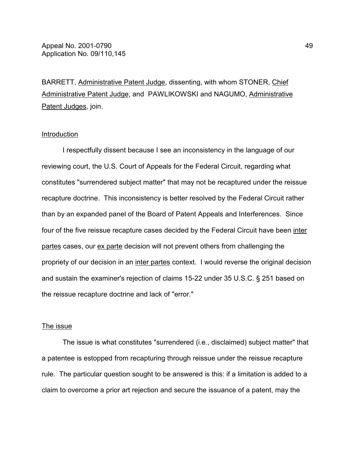BARRETT, Administrative Patent Judge, dissenting, with whom STONER, Chief Administrative Patent Judge, and PAWLIKOWSKI and NAGUMO, Administrative Patent Judges, join.

#### Introduction

I respectfully dissent because I see an inconsistency in the language of our reviewing court, the U.S. Court of Appeals for the Federal Circuit, regarding what constitutes "surrendered subject matter" that may not be recaptured under the reissue recapture doctrine. This inconsistency is better resolved by the Federal Circuit rather than by an expanded panel of the Board of Patent Appeals and Interferences. Since four of the five reissue recapture cases decided by the Federal Circuit have been inter partes cases, our ex parte decision will not prevent others from challenging the propriety of our decision in an inter partes context. I would reverse the original decision and sustain the examiner's rejection of claims 15-22 under 35 U.S.C. § 251 based on the reissue recapture doctrine and lack of "error."

#### The issue

The issue is what constitutes "surrendered (i.e., disclaimed) subject matter" that a patentee is estopped from recapturing through reissue under the reissue recapture rule. The particular question sought to be answered is this: if a limitation is added to a claim to overcome a prior art rejection and secure the issuance of a patent, may the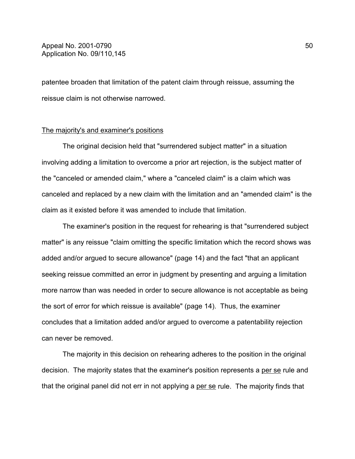patentee broaden that limitation of the patent claim through reissue, assuming the reissue claim is not otherwise narrowed.

#### The majority's and examiner's positions

The original decision held that "surrendered subject matter" in a situation involving adding a limitation to overcome a prior art rejection, is the subject matter of the "canceled or amended claim," where a "canceled claim" is a claim which was canceled and replaced by a new claim with the limitation and an "amended claim" is the claim as it existed before it was amended to include that limitation.

The examiner's position in the request for rehearing is that "surrendered subject matter" is any reissue "claim omitting the specific limitation which the record shows was added and/or argued to secure allowance" (page 14) and the fact "that an applicant seeking reissue committed an error in judgment by presenting and arguing a limitation more narrow than was needed in order to secure allowance is not acceptable as being the sort of error for which reissue is available" (page 14). Thus, the examiner concludes that a limitation added and/or argued to overcome a patentability rejection can never be removed.

The majority in this decision on rehearing adheres to the position in the original decision. The majority states that the examiner's position represents a per se rule and that the original panel did not err in not applying a per se rule. The majority finds that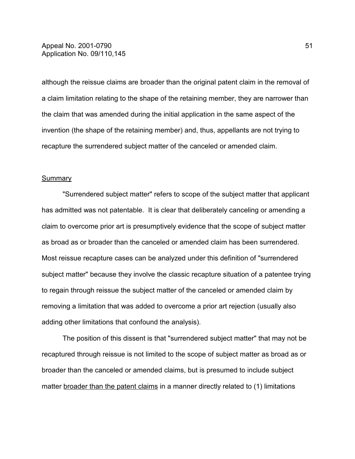although the reissue claims are broader than the original patent claim in the removal of a claim limitation relating to the shape of the retaining member, they are narrower than the claim that was amended during the initial application in the same aspect of the invention (the shape of the retaining member) and, thus, appellants are not trying to recapture the surrendered subject matter of the canceled or amended claim.

#### **Summary**

"Surrendered subject matter" refers to scope of the subject matter that applicant has admitted was not patentable. It is clear that deliberately canceling or amending a claim to overcome prior art is presumptively evidence that the scope of subject matter as broad as or broader than the canceled or amended claim has been surrendered. Most reissue recapture cases can be analyzed under this definition of "surrendered subject matter" because they involve the classic recapture situation of a patentee trying to regain through reissue the subject matter of the canceled or amended claim by removing a limitation that was added to overcome a prior art rejection (usually also adding other limitations that confound the analysis).

The position of this dissent is that "surrendered subject matter" that may not be recaptured through reissue is not limited to the scope of subject matter as broad as or broader than the canceled or amended claims, but is presumed to include subject matter broader than the patent claims in a manner directly related to (1) limitations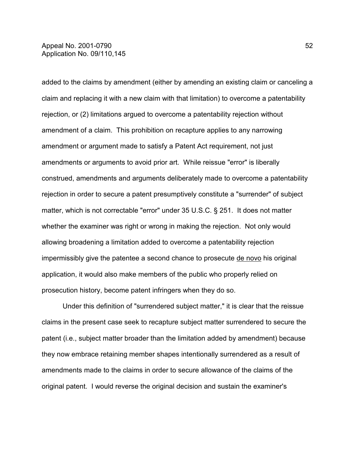added to the claims by amendment (either by amending an existing claim or canceling a claim and replacing it with a new claim with that limitation) to overcome a patentability rejection, or (2) limitations argued to overcome a patentability rejection without amendment of a claim. This prohibition on recapture applies to any narrowing amendment or argument made to satisfy a Patent Act requirement, not just amendments or arguments to avoid prior art. While reissue "error" is liberally construed, amendments and arguments deliberately made to overcome a patentability rejection in order to secure a patent presumptively constitute a "surrender" of subject matter, which is not correctable "error" under 35 U.S.C. § 251. It does not matter whether the examiner was right or wrong in making the rejection. Not only would allowing broadening a limitation added to overcome a patentability rejection impermissibly give the patentee a second chance to prosecute de novo his original application, it would also make members of the public who properly relied on prosecution history, become patent infringers when they do so.

Under this definition of "surrendered subject matter," it is clear that the reissue claims in the present case seek to recapture subject matter surrendered to secure the patent (i.e., subject matter broader than the limitation added by amendment) because they now embrace retaining member shapes intentionally surrendered as a result of amendments made to the claims in order to secure allowance of the claims of the original patent. I would reverse the original decision and sustain the examiner's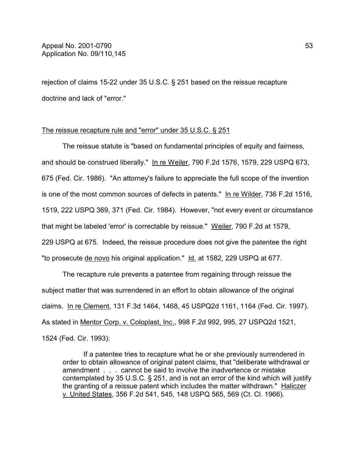rejection of claims 15-22 under 35 U.S.C. § 251 based on the reissue recapture doctrine and lack of "error."

## The reissue recapture rule and "error" under 35 U.S.C. § 251

The reissue statute is "based on fundamental principles of equity and fairness, and should be construed liberally." In re Weiler, 790 F.2d 1576, 1579, 229 USPQ 673, 675 (Fed. Cir. 1986). "An attorney's failure to appreciate the full scope of the invention is one of the most common sources of defects in patents." In re Wilder, 736 F.2d 1516, 1519, 222 USPQ 369, 371 (Fed. Cir. 1984). However, "not every event or circumstance that might be labeled 'error' is correctable by reissue." Weiler, 790 F.2d at 1579, 229 USPQ at 675. Indeed, the reissue procedure does not give the patentee the right "to prosecute de novo his original application." Id. at 1582, 229 USPQ at 677.

The recapture rule prevents a patentee from regaining through reissue the subject matter that was surrendered in an effort to obtain allowance of the original claims. In re Clement, 131 F.3d 1464, 1468, 45 USPQ2d 1161, 1164 (Fed. Cir. 1997). As stated in Mentor Corp. v. Coloplast, Inc., 998 F.2d 992, 995, 27 USPQ2d 1521, 1524 (Fed. Cir. 1993):

If a patentee tries to recapture what he or she previously surrendered in order to obtain allowance of original patent claims, that "deliberate withdrawal or amendment . . . cannot be said to involve the inadvertence or mistake contemplated by 35 U.S.C. § 251, and is not an error of the kind which will justify the granting of a reissue patent which includes the matter withdrawn." Haliczer v. United States, 356 F.2d 541, 545, 148 USPQ 565, 569 (Ct. Cl. 1966).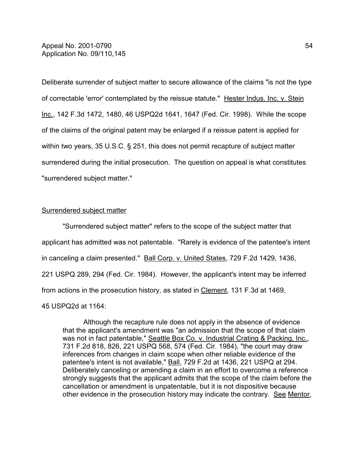Deliberate surrender of subject matter to secure allowance of the claims "is not the type of correctable 'error' contemplated by the reissue statute." Hester Indus. Inc. v. Stein Inc., 142 F.3d 1472, 1480, 46 USPQ2d 1641, 1647 (Fed. Cir. 1998). While the scope of the claims of the original patent may be enlarged if a reissue patent is applied for within two years, 35 U.S.C. § 251, this does not permit recapture of subject matter surrendered during the initial prosecution. The question on appeal is what constitutes "surrendered subject matter."

# Surrendered subject matter

"Surrendered subject matter" refers to the scope of the subject matter that applicant has admitted was not patentable. "Rarely is evidence of the patentee's intent in canceling a claim presented." Ball Corp. v. United States, 729 F.2d 1429, 1436, 221 USPQ 289, 294 (Fed. Cir. 1984). However, the applicant's intent may be inferred from actions in the prosecution history, as stated in Clement, 131 F.3d at 1469, 45 USPQ2d at 1164:

Although the recapture rule does not apply in the absence of evidence that the applicant's amendment was "an admission that the scope of that claim was not in fact patentable," Seattle Box Co. v. Industrial Crating & Packing, Inc., 731 F.2d 818, 826, 221 USPQ 568, 574 (Fed. Cir. 1984), "the court may draw inferences from changes in claim scope when other reliable evidence of the patentee's intent is not available," Ball, 729 F.2d at 1436, 221 USPQ at 294. Deliberately canceling or amending a claim in an effort to overcome a reference strongly suggests that the applicant admits that the scope of the claim before the cancellation or amendment is unpatentable, but it is not dispositive because other evidence in the prosecution history may indicate the contrary. See Mentor,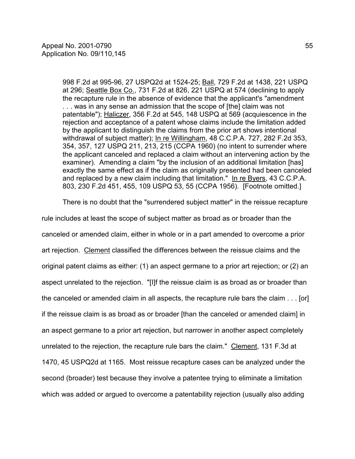998 F.2d at 995-96, 27 USPQ2d at 1524-25; Ball, 729 F.2d at 1438, 221 USPQ at 296; Seattle Box Co., 731 F.2d at 826, 221 USPQ at 574 (declining to apply the recapture rule in the absence of evidence that the applicant's "amendment . . . was in any sense an admission that the scope of [the] claim was not patentable"); Haliczer, 356 F.2d at 545, 148 USPQ at 569 (acquiescence in the rejection and acceptance of a patent whose claims include the limitation added by the applicant to distinguish the claims from the prior art shows intentional withdrawal of subject matter); In re Willingham, 48 C.C.P.A. 727, 282 F.2d 353, 354, 357, 127 USPQ 211, 213, 215 (CCPA 1960) (no intent to surrender where the applicant canceled and replaced a claim without an intervening action by the examiner). Amending a claim "by the inclusion of an additional limitation [has] exactly the same effect as if the claim as originally presented had been canceled and replaced by a new claim including that limitation." In re Byers, 43 C.C.P.A. 803, 230 F.2d 451, 455, 109 USPQ 53, 55 (CCPA 1956). [Footnote omitted.]

There is no doubt that the "surrendered subject matter" in the reissue recapture rule includes at least the scope of subject matter as broad as or broader than the canceled or amended claim, either in whole or in a part amended to overcome a prior art rejection. Clement classified the differences between the reissue claims and the original patent claims as either: (1) an aspect germane to a prior art rejection; or (2) an aspect unrelated to the rejection. "[I]f the reissue claim is as broad as or broader than the canceled or amended claim in all aspects, the recapture rule bars the claim . . . [or] if the reissue claim is as broad as or broader [than the canceled or amended claim] in an aspect germane to a prior art rejection, but narrower in another aspect completely unrelated to the rejection, the recapture rule bars the claim." Clement, 131 F.3d at 1470, 45 USPQ2d at 1165. Most reissue recapture cases can be analyzed under the second (broader) test because they involve a patentee trying to eliminate a limitation which was added or argued to overcome a patentability rejection (usually also adding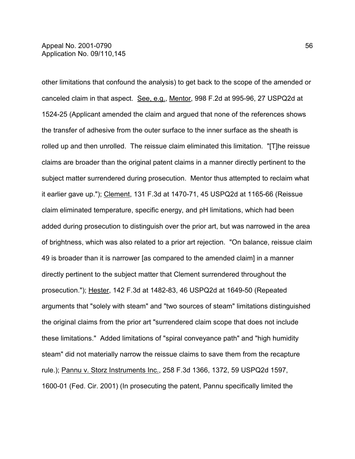other limitations that confound the analysis) to get back to the scope of the amended or canceled claim in that aspect. See, e.g., Mentor, 998 F.2d at 995-96, 27 USPQ2d at 1524-25 (Applicant amended the claim and argued that none of the references shows the transfer of adhesive from the outer surface to the inner surface as the sheath is rolled up and then unrolled. The reissue claim eliminated this limitation. "[T]he reissue claims are broader than the original patent claims in a manner directly pertinent to the subject matter surrendered during prosecution. Mentor thus attempted to reclaim what it earlier gave up."); Clement, 131 F.3d at 1470-71, 45 USPQ2d at 1165-66 (Reissue claim eliminated temperature, specific energy, and pH limitations, which had been added during prosecution to distinguish over the prior art, but was narrowed in the area of brightness, which was also related to a prior art rejection. "On balance, reissue claim 49 is broader than it is narrower [as compared to the amended claim] in a manner directly pertinent to the subject matter that Clement surrendered throughout the prosecution."); Hester, 142 F.3d at 1482-83, 46 USPQ2d at 1649-50 (Repeated arguments that "solely with steam" and "two sources of steam" limitations distinguished the original claims from the prior art "surrendered claim scope that does not include these limitations." Added limitations of "spiral conveyance path" and "high humidity steam" did not materially narrow the reissue claims to save them from the recapture rule.); Pannu v. Storz Instruments Inc., 258 F.3d 1366, 1372, 59 USPQ2d 1597, 1600-01 (Fed. Cir. 2001) (In prosecuting the patent, Pannu specifically limited the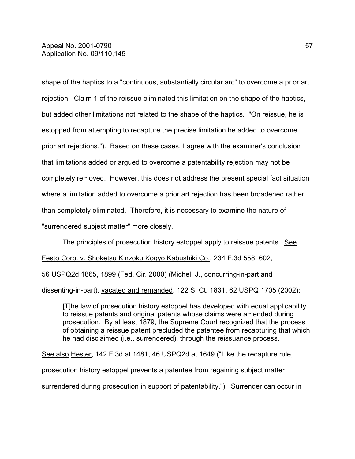shape of the haptics to a "continuous, substantially circular arc" to overcome a prior art rejection. Claim 1 of the reissue eliminated this limitation on the shape of the haptics, but added other limitations not related to the shape of the haptics. "On reissue, he is estopped from attempting to recapture the precise limitation he added to overcome prior art rejections."). Based on these cases, I agree with the examiner's conclusion that limitations added or argued to overcome a patentability rejection may not be completely removed. However, this does not address the present special fact situation where a limitation added to overcome a prior art rejection has been broadened rather than completely eliminated. Therefore, it is necessary to examine the nature of "surrendered subject matter" more closely.

The principles of prosecution history estoppel apply to reissue patents. See Festo Corp. v. Shoketsu Kinzoku Kogyo Kabushiki Co., 234 F.3d 558, 602, 56 USPQ2d 1865, 1899 (Fed. Cir. 2000) (Michel, J., concurring-in-part and dissenting-in-part), vacated and remanded, 122 S. Ct. 1831, 62 USPQ 1705 (2002):

[T]he law of prosecution history estoppel has developed with equal applicability to reissue patents and original patents whose claims were amended during prosecution. By at least 1879, the Supreme Court recognized that the process of obtaining a reissue patent precluded the patentee from recapturing that which he had disclaimed (i.e., surrendered), through the reissuance process.

See also Hester, 142 F.3d at 1481, 46 USPQ2d at 1649 ("Like the recapture rule,

prosecution history estoppel prevents a patentee from regaining subject matter

surrendered during prosecution in support of patentability."). Surrender can occur in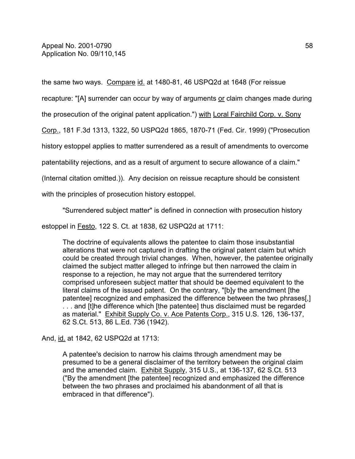the same two ways. Compare id. at 1480-81, 46 USPQ2d at 1648 (For reissue

recapture: "[A] surrender can occur by way of arguments or claim changes made during

the prosecution of the original patent application.") with Loral Fairchild Corp. v. Sony

Corp., 181 F.3d 1313, 1322, 50 USPQ2d 1865, 1870-71 (Fed. Cir. 1999) ("Prosecution

history estoppel applies to matter surrendered as a result of amendments to overcome

patentability rejections, and as a result of argument to secure allowance of a claim."

(Internal citation omitted.)). Any decision on reissue recapture should be consistent

with the principles of prosecution history estoppel.

"Surrendered subject matter" is defined in connection with prosecution history

estoppel in Festo, 122 S. Ct. at 1838, 62 USPQ2d at 1711:

The doctrine of equivalents allows the patentee to claim those insubstantial alterations that were not captured in drafting the original patent claim but which could be created through trivial changes. When, however, the patentee originally claimed the subject matter alleged to infringe but then narrowed the claim in response to a rejection, he may not argue that the surrendered territory comprised unforeseen subject matter that should be deemed equivalent to the literal claims of the issued patent. On the contrary, "[b]y the amendment [the patentee] recognized and emphasized the difference between the two phrases[,] ... and [t]he difference which [the patentee] thus disclaimed must be regarded as material." Exhibit Supply Co. v. Ace Patents Corp., 315 U.S. 126, 136-137, 62 S.Ct. 513, 86 L.Ed. 736 (1942).

And, id. at 1842, 62 USPQ2d at 1713:

A patentee's decision to narrow his claims through amendment may be presumed to be a general disclaimer of the territory between the original claim and the amended claim. Exhibit Supply, 315 U.S., at 136-137, 62 S.Ct. 513 ("By the amendment [the patentee] recognized and emphasized the difference between the two phrases and proclaimed his abandonment of all that is embraced in that difference").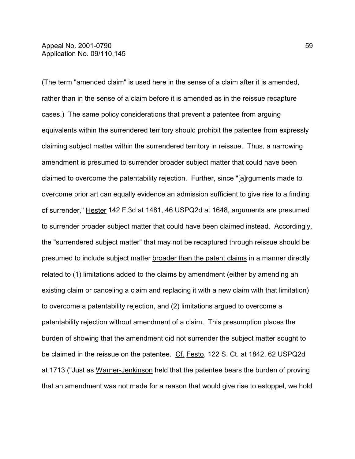(The term "amended claim" is used here in the sense of a claim after it is amended, rather than in the sense of a claim before it is amended as in the reissue recapture cases.) The same policy considerations that prevent a patentee from arguing equivalents within the surrendered territory should prohibit the patentee from expressly claiming subject matter within the surrendered territory in reissue. Thus, a narrowing amendment is presumed to surrender broader subject matter that could have been claimed to overcome the patentability rejection. Further, since "[a]rguments made to overcome prior art can equally evidence an admission sufficient to give rise to a finding of surrender," Hester 142 F.3d at 1481, 46 USPQ2d at 1648, arguments are presumed to surrender broader subject matter that could have been claimed instead. Accordingly, the "surrendered subject matter" that may not be recaptured through reissue should be presumed to include subject matter broader than the patent claims in a manner directly related to (1) limitations added to the claims by amendment (either by amending an existing claim or canceling a claim and replacing it with a new claim with that limitation) to overcome a patentability rejection, and (2) limitations argued to overcome a patentability rejection without amendment of a claim. This presumption places the burden of showing that the amendment did not surrender the subject matter sought to be claimed in the reissue on the patentee. Cf. Festo, 122 S. Ct. at 1842, 62 USPQ2d at 1713 ("Just as Warner-Jenkinson held that the patentee bears the burden of proving that an amendment was not made for a reason that would give rise to estoppel, we hold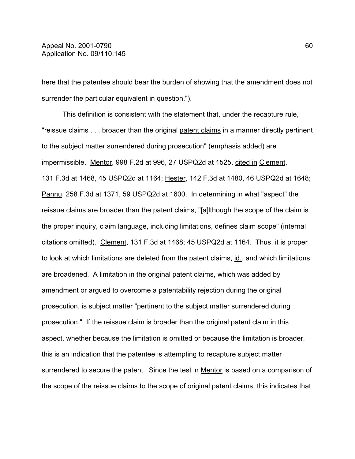here that the patentee should bear the burden of showing that the amendment does not surrender the particular equivalent in question.").

This definition is consistent with the statement that, under the recapture rule, "reissue claims . . . broader than the original patent claims in a manner directly pertinent to the subject matter surrendered during prosecution" (emphasis added) are impermissible. Mentor, 998 F.2d at 996, 27 USPQ2d at 1525, cited in Clement, 131 F.3d at 1468, 45 USPQ2d at 1164; Hester, 142 F.3d at 1480, 46 USPQ2d at 1648; Pannu, 258 F.3d at 1371, 59 USPQ2d at 1600. In determining in what "aspect" the reissue claims are broader than the patent claims, "[a]lthough the scope of the claim is the proper inquiry, claim language, including limitations, defines claim scope" (internal citations omitted). Clement, 131 F.3d at 1468; 45 USPQ2d at 1164. Thus, it is proper to look at which limitations are deleted from the patent claims, id., and which limitations are broadened. A limitation in the original patent claims, which was added by amendment or argued to overcome a patentability rejection during the original prosecution, is subject matter "pertinent to the subject matter surrendered during prosecution." If the reissue claim is broader than the original patent claim in this aspect, whether because the limitation is omitted or because the limitation is broader, this is an indication that the patentee is attempting to recapture subject matter surrendered to secure the patent. Since the test in Mentor is based on a comparison of the scope of the reissue claims to the scope of original patent claims, this indicates that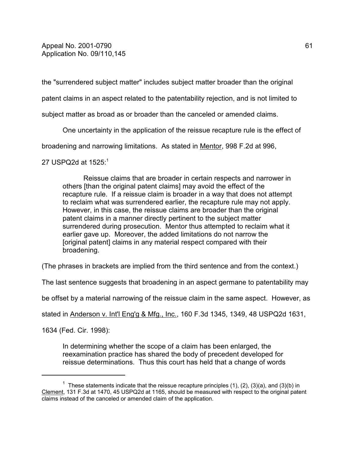the "surrendered subject matter" includes subject matter broader than the original

patent claims in an aspect related to the patentability rejection, and is not limited to

subject matter as broad as or broader than the canceled or amended claims.

One uncertainty in the application of the reissue recapture rule is the effect of

broadening and narrowing limitations. As stated in Mentor, 998 F.2d at 996,

27 USPQ2d at  $1525$ :<sup>1</sup>

Reissue claims that are broader in certain respects and narrower in others [than the original patent claims] may avoid the effect of the recapture rule. If a reissue claim is broader in a way that does not attempt to reclaim what was surrendered earlier, the recapture rule may not apply. However, in this case, the reissue claims are broader than the original patent claims in a manner directly pertinent to the subject matter surrendered during prosecution. Mentor thus attempted to reclaim what it earlier gave up. Moreover, the added limitations do not narrow the [original patent] claims in any material respect compared with their broadening.

(The phrases in brackets are implied from the third sentence and from the context.)

The last sentence suggests that broadening in an aspect germane to patentability may

be offset by a material narrowing of the reissue claim in the same aspect. However, as

stated in Anderson v. Int'l Eng'g & Mfg., Inc., 160 F.3d 1345, 1349, 48 USPQ2d 1631,

1634 (Fed. Cir. 1998):

In determining whether the scope of a claim has been enlarged, the reexamination practice has shared the body of precedent developed for reissue determinations. Thus this court has held that a change of words

<sup>&</sup>lt;sup>1</sup> These statements indicate that the reissue recapture principles (1), (2), (3)(a), and (3)(b) in Clement, 131 F.3d at 1470, 45 USPQ2d at 1165, should be measured with respect to the original patent claims instead of the canceled or amended claim of the application.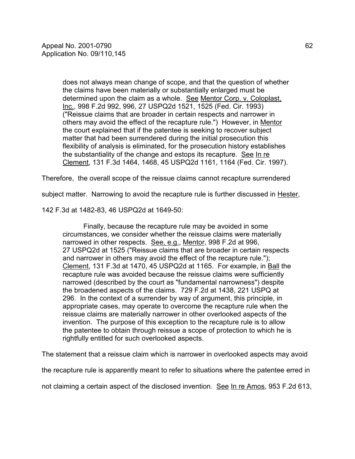does not always mean change of scope, and that the question of whether the claims have been materially or substantially enlarged must be determined upon the claim as a whole. See Mentor Corp. v. Coloplast, Inc., 998 F.2d 992, 996, 27 USPQ2d 1521, 1525 (Fed. Cir. 1993) ("Reissue claims that are broader in certain respects and narrower in others may avoid the effect of the recapture rule.") However, in Mentor the court explained that if the patentee is seeking to recover subject matter that had been surrendered during the initial prosecution this flexibility of analysis is eliminated, for the prosecution history establishes the substantiality of the change and estops its recapture. See In re Clement, 131 F.3d 1464, 1468, 45 USPQ2d 1161, 1164 (Fed. Cir. 1997).

Therefore, the overall scope of the reissue claims cannot recapture surrendered

subject matter. Narrowing to avoid the recapture rule is further discussed in Hester,

142 F.3d at 1482-83, 46 USPQ2d at 1649-50:

Finally, because the recapture rule may be avoided in some circumstances, we consider whether the reissue claims were materially narrowed in other respects. See, e.g., Mentor, 998 F.2d at 996, 27 USPQ2d at 1525 ("Reissue claims that are broader in certain respects and narrower in others may avoid the effect of the recapture rule."); Clement, 131 F.3d at 1470, 45 USPQ2d at 1165. For example, in Ball the recapture rule was avoided because the reissue claims were sufficiently narrowed (described by the court as "fundamental narrowness") despite the broadened aspects of the claims. 729 F.2d at 1438, 221 USPQ at 296. In the context of a surrender by way of argument, this principle, in appropriate cases, may operate to overcome the recapture rule when the reissue claims are materially narrower in other overlooked aspects of the invention. The purpose of this exception to the recapture rule is to allow the patentee to obtain through reissue a scope of protection to which he is rightfully entitled for such overlooked aspects.

The statement that a reissue claim which is narrower in overlooked aspects may avoid

the recapture rule is apparently meant to refer to situations where the patentee erred in

not claiming a certain aspect of the disclosed invention. See In re Amos, 953 F.2d 613,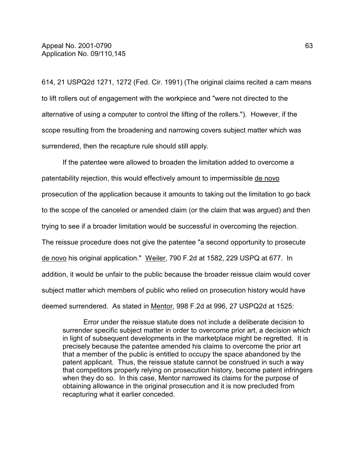614, 21 USPQ2d 1271, 1272 (Fed. Cir. 1991) (The original claims recited a cam means to lift rollers out of engagement with the workpiece and "were not directed to the alternative of using a computer to control the lifting of the rollers."). However, if the scope resulting from the broadening and narrowing covers subject matter which was surrendered, then the recapture rule should still apply.

If the patentee were allowed to broaden the limitation added to overcome a patentability rejection, this would effectively amount to impermissible de novo prosecution of the application because it amounts to taking out the limitation to go back to the scope of the canceled or amended claim (or the claim that was argued) and then trying to see if a broader limitation would be successful in overcoming the rejection. The reissue procedure does not give the patentee "a second opportunity to prosecute de novo his original application." Weiler, 790 F.2d at 1582, 229 USPQ at 677. In addition, it would be unfair to the public because the broader reissue claim would cover subject matter which members of public who relied on prosecution history would have deemed surrendered. As stated in Mentor, 998 F.2d at 996, 27 USPQ2d at 1525:

Error under the reissue statute does not include a deliberate decision to surrender specific subject matter in order to overcome prior art, a decision which in light of subsequent developments in the marketplace might be regretted. It is precisely because the patentee amended his claims to overcome the prior art that a member of the public is entitled to occupy the space abandoned by the patent applicant. Thus, the reissue statute cannot be construed in such a way that competitors properly relying on prosecution history, become patent infringers when they do so. In this case, Mentor narrowed its claims for the purpose of obtaining allowance in the original prosecution and it is now precluded from recapturing what it earlier conceded.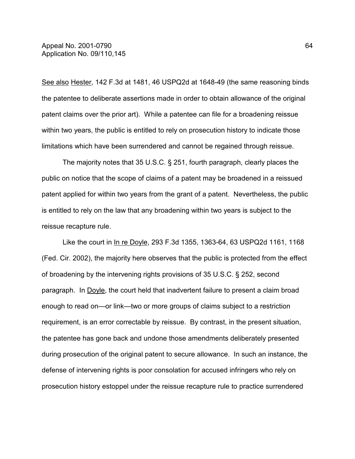See also Hester, 142 F.3d at 1481, 46 USPQ2d at 1648-49 (the same reasoning binds the patentee to deliberate assertions made in order to obtain allowance of the original patent claims over the prior art). While a patentee can file for a broadening reissue within two years, the public is entitled to rely on prosecution history to indicate those limitations which have been surrendered and cannot be regained through reissue.

The majority notes that 35 U.S.C. § 251, fourth paragraph, clearly places the public on notice that the scope of claims of a patent may be broadened in a reissued patent applied for within two years from the grant of a patent. Nevertheless, the public is entitled to rely on the law that any broadening within two years is subject to the reissue recapture rule.

Like the court in In re Doyle, 293 F.3d 1355, 1363-64, 63 USPQ2d 1161, 1168 (Fed. Cir. 2002), the majority here observes that the public is protected from the effect of broadening by the intervening rights provisions of 35 U.S.C. § 252, second paragraph. In Doyle, the court held that inadvertent failure to present a claim broad enough to read on—or link—two or more groups of claims subject to a restriction requirement, is an error correctable by reissue. By contrast, in the present situation, the patentee has gone back and undone those amendments deliberately presented during prosecution of the original patent to secure allowance. In such an instance, the defense of intervening rights is poor consolation for accused infringers who rely on prosecution history estoppel under the reissue recapture rule to practice surrendered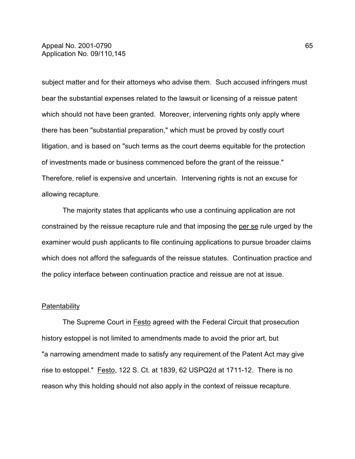subject matter and for their attorneys who advise them. Such accused infringers must bear the substantial expenses related to the lawsuit or licensing of a reissue patent which should not have been granted. Moreover, intervening rights only apply where there has been "substantial preparation," which must be proved by costly court litigation, and is based on "such terms as the court deems equitable for the protection of investments made or business commenced before the grant of the reissue." Therefore, relief is expensive and uncertain. Intervening rights is not an excuse for allowing recapture.

The majority states that applicants who use a continuing application are not constrained by the reissue recapture rule and that imposing the per se rule urged by the examiner would push applicants to file continuing applications to pursue broader claims which does not afford the safeguards of the reissue statutes. Continuation practice and the policy interface between continuation practice and reissue are not at issue.

#### **Patentability**

The Supreme Court in Festo agreed with the Federal Circuit that prosecution history estoppel is not limited to amendments made to avoid the prior art, but "a narrowing amendment made to satisfy any requirement of the Patent Act may give rise to estoppel." Festo, 122 S. Ct. at 1839, 62 USPQ2d at 1711-12. There is no reason why this holding should not also apply in the context of reissue recapture.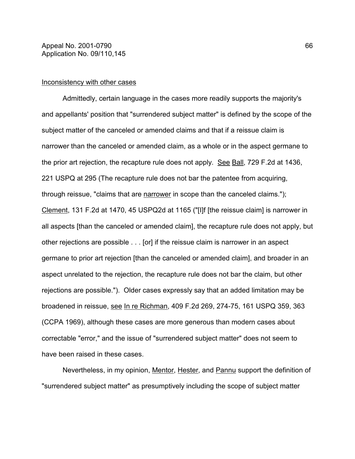#### Inconsistency with other cases

Admittedly, certain language in the cases more readily supports the majority's and appellants' position that "surrendered subject matter" is defined by the scope of the subject matter of the canceled or amended claims and that if a reissue claim is narrower than the canceled or amended claim, as a whole or in the aspect germane to the prior art rejection, the recapture rule does not apply. See Ball, 729 F.2d at 1436, 221 USPQ at 295 (The recapture rule does not bar the patentee from acquiring, through reissue, "claims that are narrower in scope than the canceled claims."); Clement, 131 F.2d at 1470, 45 USPQ2d at 1165 ("[I]f [the reissue claim] is narrower in all aspects [than the canceled or amended claim], the recapture rule does not apply, but other rejections are possible . . . [or] if the reissue claim is narrower in an aspect germane to prior art rejection [than the canceled or amended claim], and broader in an aspect unrelated to the rejection, the recapture rule does not bar the claim, but other rejections are possible."). Older cases expressly say that an added limitation may be broadened in reissue, see In re Richman, 409 F.2d 269, 274-75, 161 USPQ 359, 363 (CCPA 1969), although these cases are more generous than modern cases about correctable "error," and the issue of "surrendered subject matter" does not seem to have been raised in these cases.

Nevertheless, in my opinion, Mentor, Hester, and Pannu support the definition of "surrendered subject matter" as presumptively including the scope of subject matter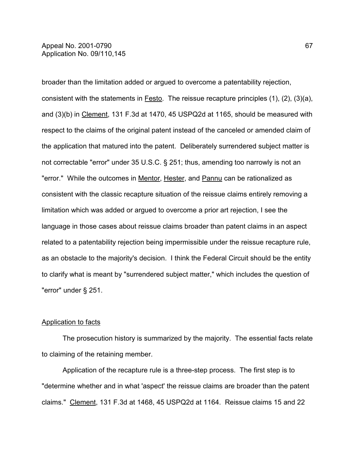broader than the limitation added or argued to overcome a patentability rejection, consistent with the statements in **Festo.** The reissue recapture principles  $(1)$ ,  $(2)$ ,  $(3)(a)$ , and (3)(b) in Clement, 131 F.3d at 1470, 45 USPQ2d at 1165, should be measured with respect to the claims of the original patent instead of the canceled or amended claim of the application that matured into the patent. Deliberately surrendered subject matter is not correctable "error" under 35 U.S.C. § 251; thus, amending too narrowly is not an "error." While the outcomes in Mentor, Hester, and Pannu can be rationalized as consistent with the classic recapture situation of the reissue claims entirely removing a limitation which was added or argued to overcome a prior art rejection, I see the language in those cases about reissue claims broader than patent claims in an aspect related to a patentability rejection being impermissible under the reissue recapture rule, as an obstacle to the majority's decision. I think the Federal Circuit should be the entity to clarify what is meant by "surrendered subject matter," which includes the question of "error" under § 251.

# Application to facts

The prosecution history is summarized by the majority. The essential facts relate to claiming of the retaining member.

Application of the recapture rule is a three-step process. The first step is to "determine whether and in what 'aspect' the reissue claims are broader than the patent claims." Clement, 131 F.3d at 1468, 45 USPQ2d at 1164. Reissue claims 15 and 22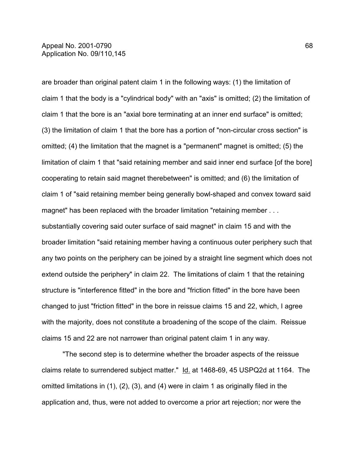are broader than original patent claim 1 in the following ways: (1) the limitation of claim 1 that the body is a "cylindrical body" with an "axis" is omitted; (2) the limitation of claim 1 that the bore is an "axial bore terminating at an inner end surface" is omitted; (3) the limitation of claim 1 that the bore has a portion of "non-circular cross section" is omitted; (4) the limitation that the magnet is a "permanent" magnet is omitted; (5) the limitation of claim 1 that "said retaining member and said inner end surface [of the bore] cooperating to retain said magnet therebetween" is omitted; and (6) the limitation of claim 1 of "said retaining member being generally bowl-shaped and convex toward said magnet" has been replaced with the broader limitation "retaining member . . . substantially covering said outer surface of said magnet" in claim 15 and with the broader limitation "said retaining member having a continuous outer periphery such that any two points on the periphery can be joined by a straight line segment which does not extend outside the periphery" in claim 22. The limitations of claim 1 that the retaining structure is "interference fitted" in the bore and "friction fitted" in the bore have been changed to just "friction fitted" in the bore in reissue claims 15 and 22, which, I agree with the majority, does not constitute a broadening of the scope of the claim. Reissue claims 15 and 22 are not narrower than original patent claim 1 in any way.

"The second step is to determine whether the broader aspects of the reissue claims relate to surrendered subject matter." Id. at 1468-69, 45 USPQ2d at 1164. The omitted limitations in (1), (2), (3), and (4) were in claim 1 as originally filed in the application and, thus, were not added to overcome a prior art rejection; nor were the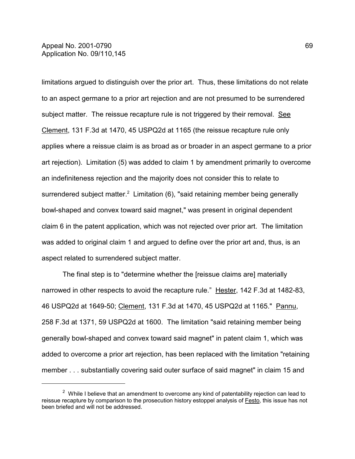limitations argued to distinguish over the prior art. Thus, these limitations do not relate to an aspect germane to a prior art rejection and are not presumed to be surrendered subject matter. The reissue recapture rule is not triggered by their removal. See Clement, 131 F.3d at 1470, 45 USPQ2d at 1165 (the reissue recapture rule only applies where a reissue claim is as broad as or broader in an aspect germane to a prior art rejection). Limitation (5) was added to claim 1 by amendment primarily to overcome an indefiniteness rejection and the majority does not consider this to relate to surrendered subject matter.<sup>2</sup> Limitation (6), "said retaining member being generally bowl-shaped and convex toward said magnet," was present in original dependent claim 6 in the patent application, which was not rejected over prior art. The limitation was added to original claim 1 and argued to define over the prior art and, thus, is an aspect related to surrendered subject matter.

The final step is to "determine whether the [reissue claims are] materially narrowed in other respects to avoid the recapture rule." Hester, 142 F.3d at 1482-83, 46 USPQ2d at 1649-50; Clement, 131 F.3d at 1470, 45 USPQ2d at 1165." Pannu, 258 F.3d at 1371, 59 USPQ2d at 1600. The limitation "said retaining member being generally bowl-shaped and convex toward said magnet" in patent claim 1, which was added to overcome a prior art rejection, has been replaced with the limitation "retaining member . . . substantially covering said outer surface of said magnet" in claim 15 and

 $2$  While I believe that an amendment to overcome any kind of patentability rejection can lead to reissue recapture by comparison to the prosecution history estoppel analysis of Festo, this issue has not been briefed and will not be addressed.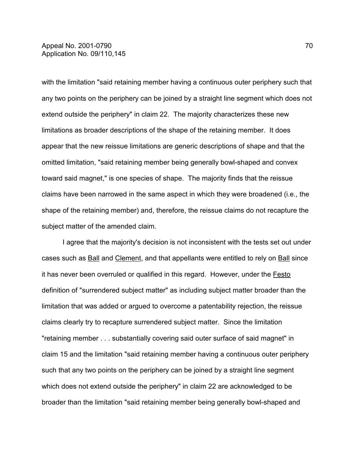with the limitation "said retaining member having a continuous outer periphery such that any two points on the periphery can be joined by a straight line segment which does not extend outside the periphery" in claim 22. The majority characterizes these new limitations as broader descriptions of the shape of the retaining member. It does appear that the new reissue limitations are generic descriptions of shape and that the omitted limitation, "said retaining member being generally bowl-shaped and convex toward said magnet," is one species of shape. The majority finds that the reissue claims have been narrowed in the same aspect in which they were broadened (i.e., the shape of the retaining member) and, therefore, the reissue claims do not recapture the subject matter of the amended claim.

I agree that the majority's decision is not inconsistent with the tests set out under cases such as Ball and Clement, and that appellants were entitled to rely on Ball since it has never been overruled or qualified in this regard. However, under the Festo definition of "surrendered subject matter" as including subject matter broader than the limitation that was added or argued to overcome a patentability rejection, the reissue claims clearly try to recapture surrendered subject matter. Since the limitation "retaining member . . . substantially covering said outer surface of said magnet" in claim 15 and the limitation "said retaining member having a continuous outer periphery such that any two points on the periphery can be joined by a straight line segment which does not extend outside the periphery" in claim 22 are acknowledged to be broader than the limitation "said retaining member being generally bowl-shaped and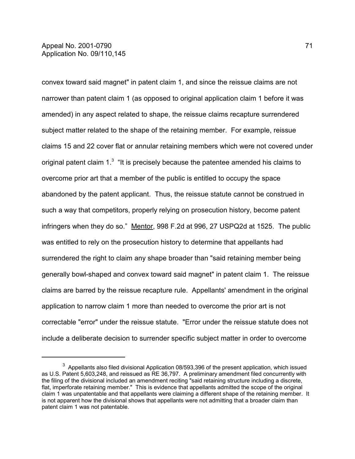convex toward said magnet" in patent claim 1, and since the reissue claims are not narrower than patent claim 1 (as opposed to original application claim 1 before it was amended) in any aspect related to shape, the reissue claims recapture surrendered subject matter related to the shape of the retaining member. For example, reissue claims 15 and 22 cover flat or annular retaining members which were not covered under original patent claim 1. $3$  "It is precisely because the patentee amended his claims to overcome prior art that a member of the public is entitled to occupy the space abandoned by the patent applicant. Thus, the reissue statute cannot be construed in such a way that competitors, properly relying on prosecution history, become patent infringers when they do so." Mentor, 998 F.2d at 996, 27 USPQ2d at 1525. The public was entitled to rely on the prosecution history to determine that appellants had surrendered the right to claim any shape broader than "said retaining member being generally bowl-shaped and convex toward said magnet" in patent claim 1. The reissue claims are barred by the reissue recapture rule. Appellants' amendment in the original application to narrow claim 1 more than needed to overcome the prior art is not correctable "error" under the reissue statute. "Error under the reissue statute does not include a deliberate decision to surrender specific subject matter in order to overcome

 $3$  Appellants also filed divisional Application 08/593,396 of the present application, which issued as U.S. Patent 5,603,248, and reissued as RE 36,797. A preliminary amendment filed concurrently with the filing of the divisional included an amendment reciting "said retaining structure including a discrete, flat, imperforate retaining member." This is evidence that appellants admitted the scope of the original claim 1 was unpatentable and that appellants were claiming a different shape of the retaining member. It is not apparent how the divisional shows that appellants were not admitting that a broader claim than patent claim 1 was not patentable.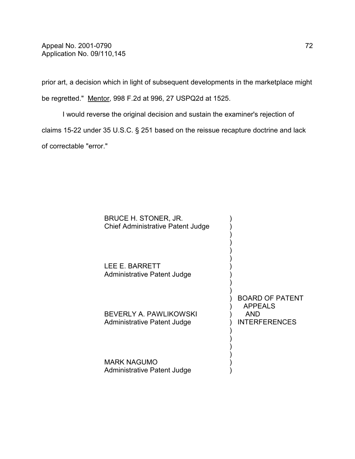prior art, a decision which in light of subsequent developments in the marketplace might be regretted." Mentor, 998 F.2d at 996, 27 USPQ2d at 1525.

I would reverse the original decision and sustain the examiner's rejection of

claims 15-22 under 35 U.S.C. § 251 based on the reissue recapture doctrine and lack

of correctable "error."

| BRUCE H. STONER, JR.<br><b>Chief Administrative Patent Judge</b> |                                                                                |
|------------------------------------------------------------------|--------------------------------------------------------------------------------|
| LEE E. BARRETT<br>Administrative Patent Judge                    |                                                                                |
| BEVERLY A. PAWLIKOWSKI<br>Administrative Patent Judge            | <b>BOARD OF PATENT</b><br><b>APPEALS</b><br><b>AND</b><br><b>INTERFERENCES</b> |
| <b>MARK NAGUMO</b><br>Administrative Patent Judge                |                                                                                |